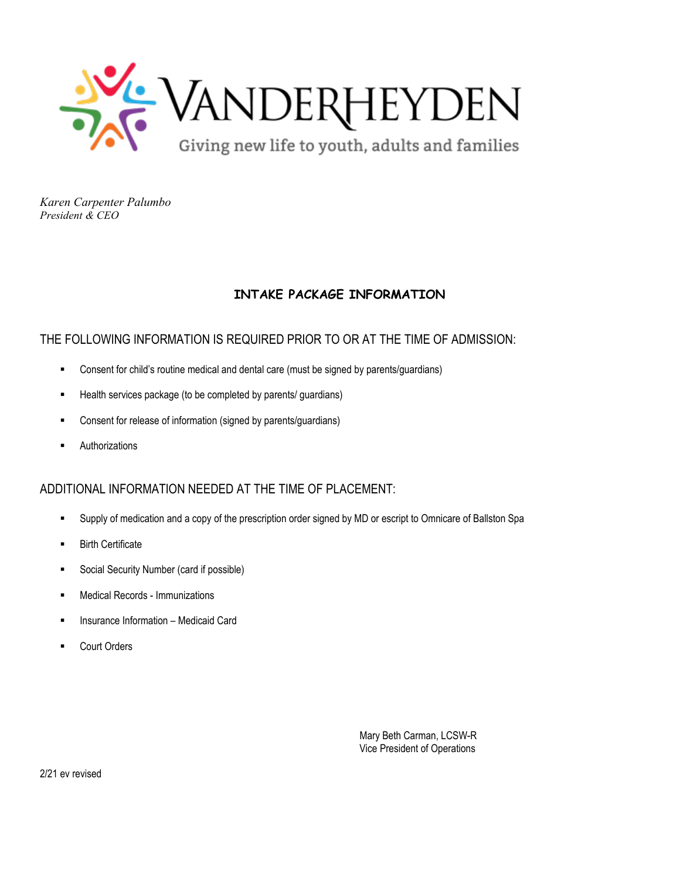

## **INTAKE PACKAGE INFORMATION**

## THE FOLLOWING INFORMATION IS REQUIRED PRIOR TO OR AT THE TIME OF ADMISSION:

- Consent for child's routine medical and dental care (must be signed by parents/guardians)
- Health services package (to be completed by parents/ guardians)
- Consent for release of information (signed by parents/guardians)
- Authorizations

## ADDITIONAL INFORMATION NEEDED AT THE TIME OF PLACEMENT:

- Supply of medication and a copy of the prescription order signed by MD or escript to Omnicare of Ballston Spa
- Birth Certificate
- Social Security Number (card if possible)
- Medical Records Immunizations
- Insurance Information Medicaid Card
- Court Orders

Mary Beth Carman, LCSW-R Vice President of Operations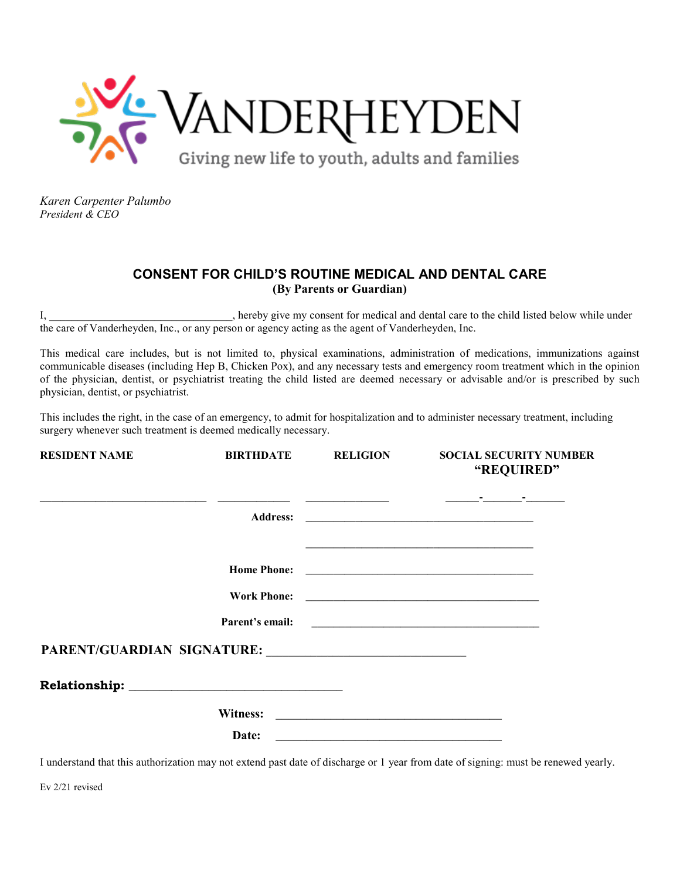

## **CONSENT FOR CHILD'S ROUTINE MEDICAL AND DENTAL CARE (By Parents or Guardian)**

I, hereby give my consent for medical and dental care to the child listed below while under the care of Vanderheyden, Inc., or any person or agency acting as the agent of Vanderheyden, Inc.

This medical care includes, but is not limited to, physical examinations, administration of medications, immunizations against communicable diseases (including Hep B, Chicken Pox), and any necessary tests and emergency room treatment which in the opinion of the physician, dentist, or psychiatrist treating the child listed are deemed necessary or advisable and/or is prescribed by such physician, dentist, or psychiatrist.

This includes the right, in the case of an emergency, to admit for hospitalization and to administer necessary treatment, including surgery whenever such treatment is deemed medically necessary.

| <b>RESIDENT NAME</b> | <b>BIRTHDATE</b> | <b>RELIGION</b> | <b>SOCIAL SECURITY NUMBER</b><br>"REQUIRED"                                                                          |  |  |  |
|----------------------|------------------|-----------------|----------------------------------------------------------------------------------------------------------------------|--|--|--|
|                      |                  |                 |                                                                                                                      |  |  |  |
|                      |                  |                 | <u> 1980 - Jan Barat, margaret amerikan basa dan berasal dan berasal dalam basa dalam berasal dalam berasal dala</u> |  |  |  |
|                      |                  |                 |                                                                                                                      |  |  |  |
|                      |                  |                 |                                                                                                                      |  |  |  |
|                      |                  |                 |                                                                                                                      |  |  |  |
|                      |                  |                 |                                                                                                                      |  |  |  |
|                      |                  |                 |                                                                                                                      |  |  |  |
|                      |                  |                 |                                                                                                                      |  |  |  |
|                      | Date:            |                 |                                                                                                                      |  |  |  |

I understand that this authorization may not extend past date of discharge or 1 year from date of signing: must be renewed yearly.

Ev 2/21 revised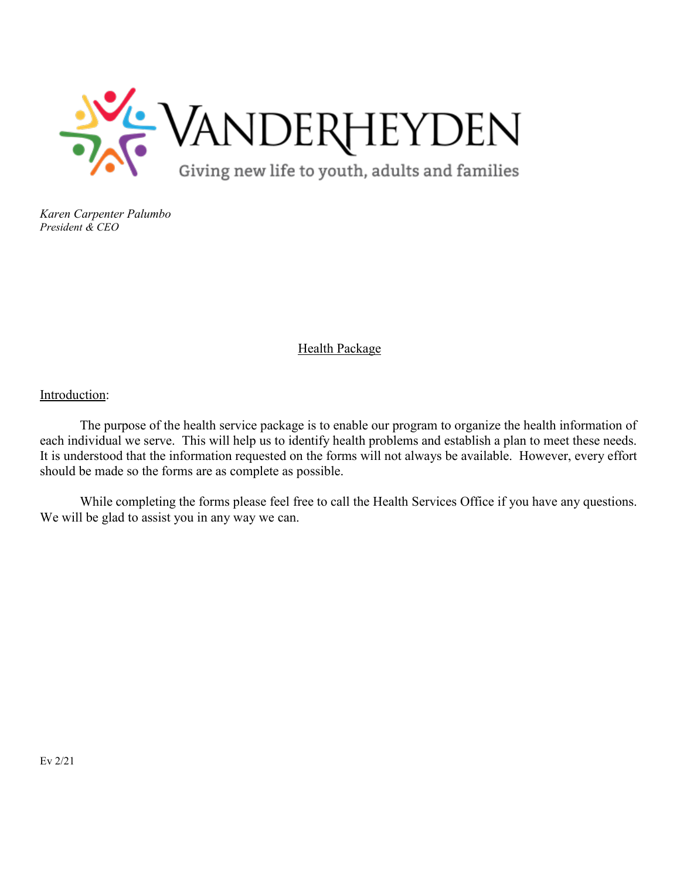

## Health Package

Introduction:

The purpose of the health service package is to enable our program to organize the health information of each individual we serve. This will help us to identify health problems and establish a plan to meet these needs. It is understood that the information requested on the forms will not always be available. However, every effort should be made so the forms are as complete as possible.

While completing the forms please feel free to call the Health Services Office if you have any questions. We will be glad to assist you in any way we can.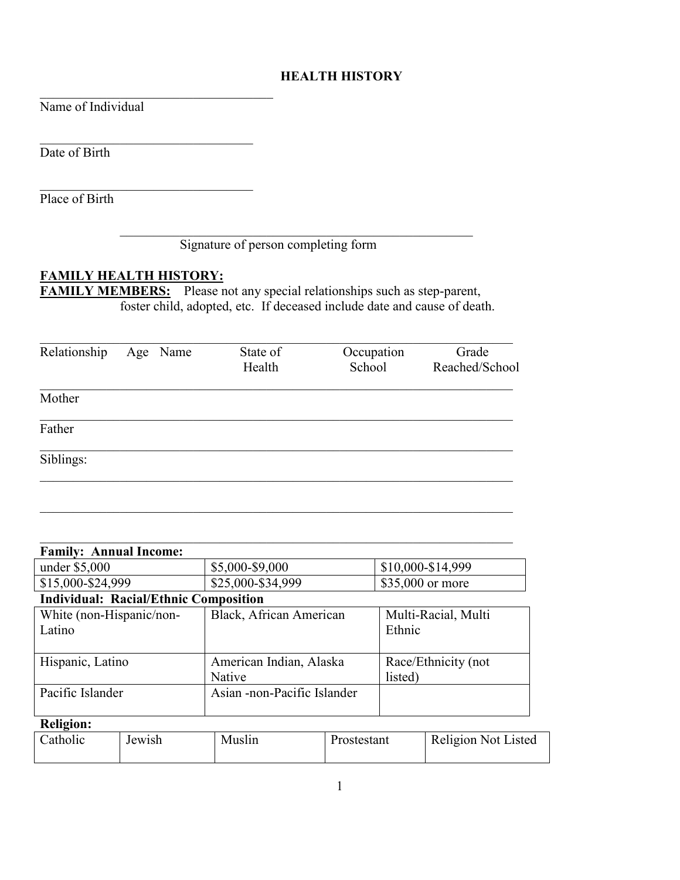## **HEALTH HISTORY**

Name of Individual

Date of Birth

Place of Birth

## Signature of person completing form

## **FAMILY HEALTH HISTORY:**

 $\mathcal{L}_\text{max}$  , and the set of the set of the set of the set of the set of the set of the set of the set of the set of the set of the set of the set of the set of the set of the set of the set of the set of the set of the

 $\overline{\phantom{a}}$ 

 $\overline{\phantom{a}}$ 

**FAMILY MEMBERS:** Please not any special relationships such as step-parent, foster child, adopted, etc. If deceased include date and cause of death.

| Relationship | Age Name | State of<br>Health | Occupation<br>School | Grade<br>Reached/School |
|--------------|----------|--------------------|----------------------|-------------------------|
| Mother       |          |                    |                      |                         |
| Father       |          |                    |                      |                         |
| Siblings:    |          |                    |                      |                         |

| <b>Family: Annual Income:</b>                |                             |                     |
|----------------------------------------------|-----------------------------|---------------------|
| under \$5,000                                | \$5,000-\$9,000             | \$10,000-\$14,999   |
| \$15,000-\$24,999                            | \$25,000-\$34,999           | \$35,000 or more    |
| <b>Individual: Racial/Ethnic Composition</b> |                             |                     |
| White (non-Hispanic/non-                     | Black, African American     | Multi-Racial, Multi |
| Latino                                       |                             | Ethnic              |
|                                              |                             |                     |
| Hispanic, Latino                             | American Indian, Alaska     | Race/Ethnicity (not |
|                                              | <b>Native</b>               | listed)             |
| Pacific Islander                             | Asian -non-Pacific Islander |                     |
|                                              |                             |                     |

## **Religion:**

| Catholic | Jewish | Muslin | Prostestant | Religion Not Listed |
|----------|--------|--------|-------------|---------------------|
|          |        |        |             |                     |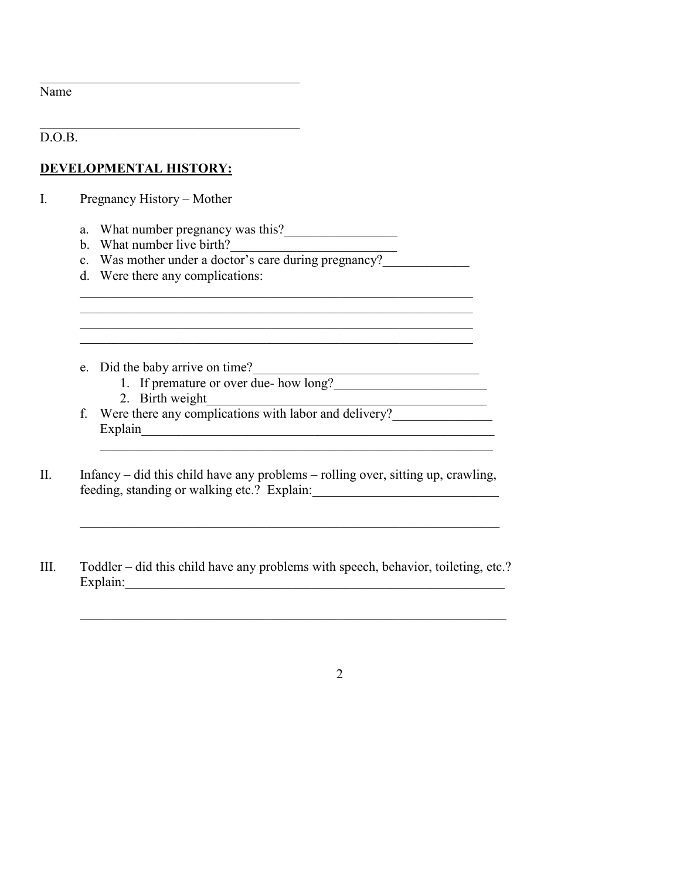Name

 $\overline{D.O.B.}$ 

## **DEVELOPMENTAL HISTORY:**

I. Pregnancy History – Mother

- a. What number pregnancy was this?
- b. What number live birth?
- c. Was mother under a doctor's care during pregnancy?
- d. Were there any complications:
- e. Did the baby arrive on time?
	- 1. If premature or over due- how long?
	- 2. Birth weight\_\_\_\_\_\_\_\_\_\_\_\_\_\_\_\_\_\_\_\_\_\_\_\_\_\_\_\_\_\_\_\_\_\_\_\_\_\_\_\_\_\_
- f. Were there any complications with labor and delivery? Explain\_\_\_\_\_\_\_\_\_\_\_\_\_\_\_\_\_\_\_\_\_\_\_\_\_\_\_\_\_\_\_\_\_\_\_\_\_\_\_\_\_\_\_\_\_\_\_\_\_\_\_\_\_
- II. Infancy did this child have any problems rolling over, sitting up, crawling, feeding, standing or walking etc.? Explain:\_\_\_\_\_\_\_\_\_\_\_\_\_\_\_\_\_\_\_\_\_\_\_\_\_\_\_\_

 $\_$  , and the set of the set of the set of the set of the set of the set of the set of the set of the set of the set of the set of the set of the set of the set of the set of the set of the set of the set of the set of th

\_\_\_\_\_\_\_\_\_\_\_\_\_\_\_\_\_\_\_\_\_\_\_\_\_\_\_\_\_\_\_\_\_\_\_\_\_\_\_\_\_\_\_\_\_\_\_\_\_\_\_\_\_\_\_\_\_\_\_\_\_\_\_

\_\_\_\_\_\_\_\_\_\_\_\_\_\_\_\_\_\_\_\_\_\_\_\_\_\_\_\_\_\_\_\_\_\_\_\_\_\_\_\_\_\_\_\_\_\_\_\_\_\_\_\_\_\_\_\_\_\_\_\_\_\_\_\_

 $\_$ 

III. Toddler – did this child have any problems with speech, behavior, toileting, etc.? Explain:\_\_\_\_\_\_\_\_\_\_\_\_\_\_\_\_\_\_\_\_\_\_\_\_\_\_\_\_\_\_\_\_\_\_\_\_\_\_\_\_\_\_\_\_\_\_\_\_\_\_\_\_\_\_\_\_\_

2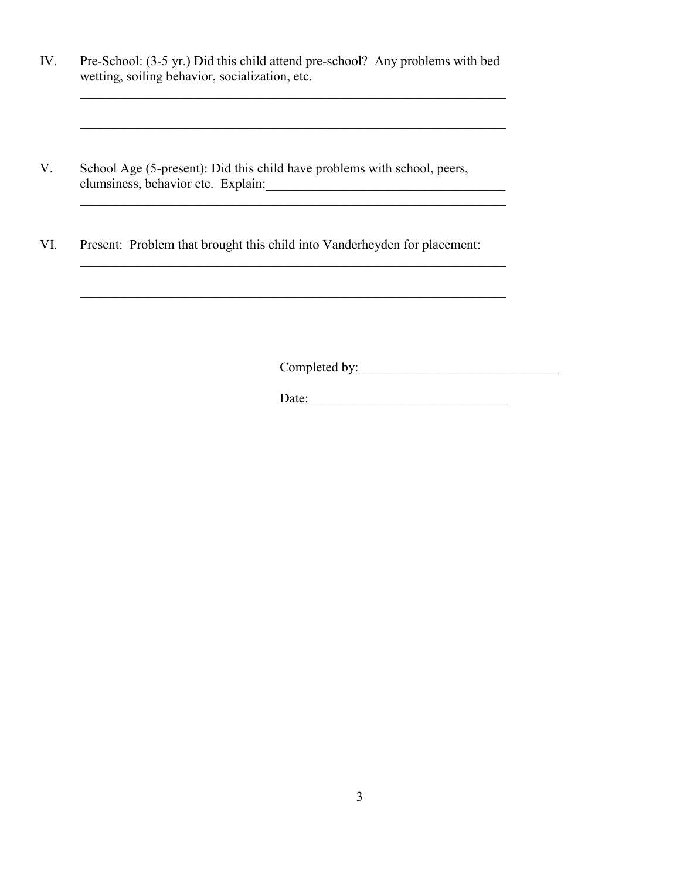IV. Pre-School: (3-5 yr.) Did this child attend pre-school? Any problems with bed wetting, soiling behavior, socialization, etc.

\_\_\_\_\_\_\_\_\_\_\_\_\_\_\_\_\_\_\_\_\_\_\_\_\_\_\_\_\_\_\_\_\_\_\_\_\_\_\_\_\_\_\_\_\_\_\_\_\_\_\_\_\_\_\_\_\_\_\_\_\_\_\_\_

- V. School Age (5-present): Did this child have problems with school, peers, clumsiness, behavior etc. Explain:
- VI. Present: Problem that brought this child into Vanderheyden for placement:

Completed by:\_\_\_\_\_\_\_\_\_\_\_\_\_\_\_\_\_\_\_\_\_\_\_\_\_\_\_\_\_\_

 $\frac{1}{2}$  ,  $\frac{1}{2}$  ,  $\frac{1}{2}$  ,  $\frac{1}{2}$  ,  $\frac{1}{2}$  ,  $\frac{1}{2}$  ,  $\frac{1}{2}$  ,  $\frac{1}{2}$  ,  $\frac{1}{2}$  ,  $\frac{1}{2}$  ,  $\frac{1}{2}$  ,  $\frac{1}{2}$  ,  $\frac{1}{2}$  ,  $\frac{1}{2}$  ,  $\frac{1}{2}$  ,  $\frac{1}{2}$  ,  $\frac{1}{2}$  ,  $\frac{1}{2}$  ,  $\frac{1$ 

Date:\_\_\_\_\_\_\_\_\_\_\_\_\_\_\_\_\_\_\_\_\_\_\_\_\_\_\_\_\_\_

\_\_\_\_\_\_\_\_\_\_\_\_\_\_\_\_\_\_\_\_\_\_\_\_\_\_\_\_\_\_\_\_\_\_\_\_\_\_\_\_\_\_\_\_\_\_\_\_\_\_\_\_\_\_\_\_\_\_\_\_\_\_\_\_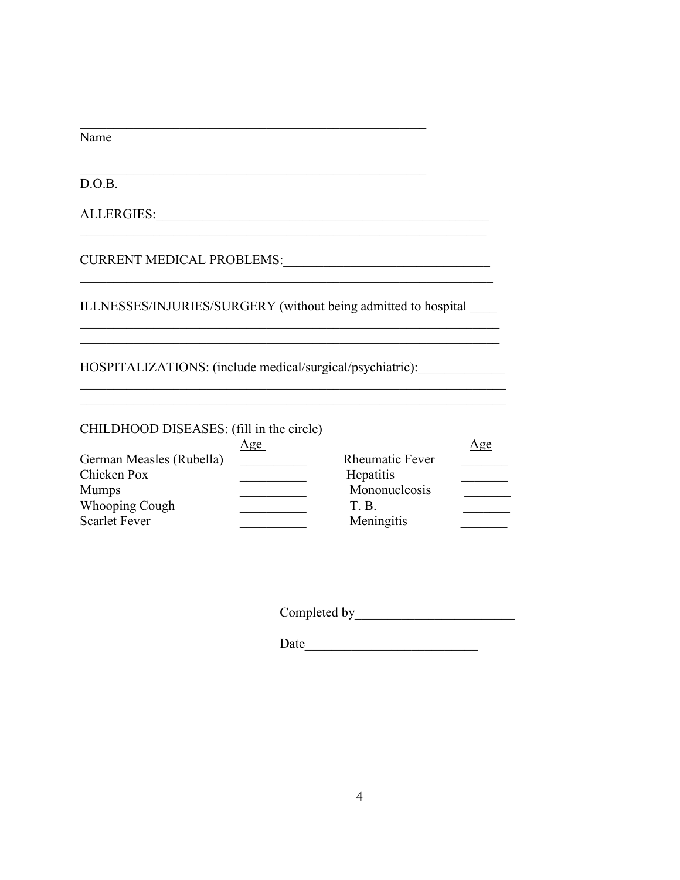$\overline{\text{Name}}$ 

 $D.O.B.$ 

ILLNESSES/INJURIES/SURGERY (without being admitted to hospital \_\_\_\_\_

<u> 1989 - Johann Barbara, martin da basar da basar da basar da basar da basar da basar da basar da basar da basa</u>

HOSPITALIZATIONS: (include medical/surgical/psychiatric):

CHILDHOOD DISEASES: (fill in the circle)

|                          | Age |                        | Age |
|--------------------------|-----|------------------------|-----|
| German Measles (Rubella) |     | <b>Rheumatic Fever</b> |     |
| Chicken Pox              |     | Hepatitis              |     |
| <b>Mumps</b>             |     | Mononucleosis          |     |
| <b>Whooping Cough</b>    |     | T. B.                  |     |
| <b>Scarlet Fever</b>     |     | Meningitis             |     |

Date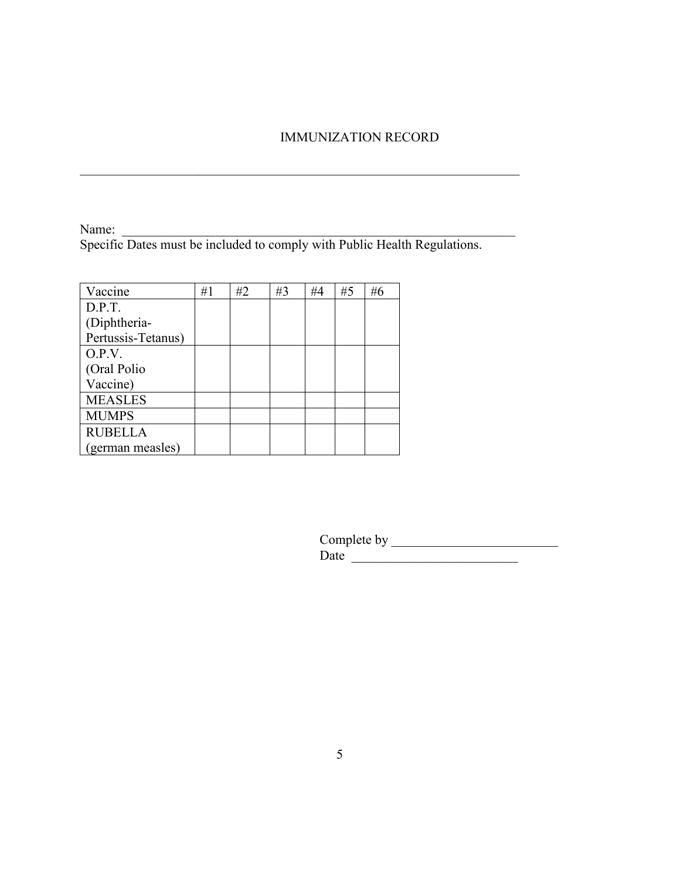## IMMUNIZATION RECORD

Name: \_\_\_\_\_\_\_\_\_\_\_\_\_\_\_\_\_\_\_\_\_\_\_\_\_\_\_\_\_\_\_\_\_\_\_\_\_\_\_\_\_\_\_\_\_\_\_\_\_\_\_\_\_\_\_\_\_\_\_ Specific Dates must be included to comply with Public Health Regulations.

 $\mathcal{L}_\text{G}$ 

| Vaccine            | #1 | #2 | #3 | #4 | #5 | #6 |
|--------------------|----|----|----|----|----|----|
| D.P.T.             |    |    |    |    |    |    |
| (Diphtheria-       |    |    |    |    |    |    |
| Pertussis-Tetanus) |    |    |    |    |    |    |
| O.P.V.             |    |    |    |    |    |    |
| (Oral Polio        |    |    |    |    |    |    |
| Vaccine)           |    |    |    |    |    |    |
| <b>MEASLES</b>     |    |    |    |    |    |    |
| <b>MUMPS</b>       |    |    |    |    |    |    |
| <b>RUBELLA</b>     |    |    |    |    |    |    |
| (german measles)   |    |    |    |    |    |    |

Complete by \_\_\_\_\_\_\_\_\_\_\_\_\_\_\_\_\_\_\_\_\_\_\_\_\_  $Date$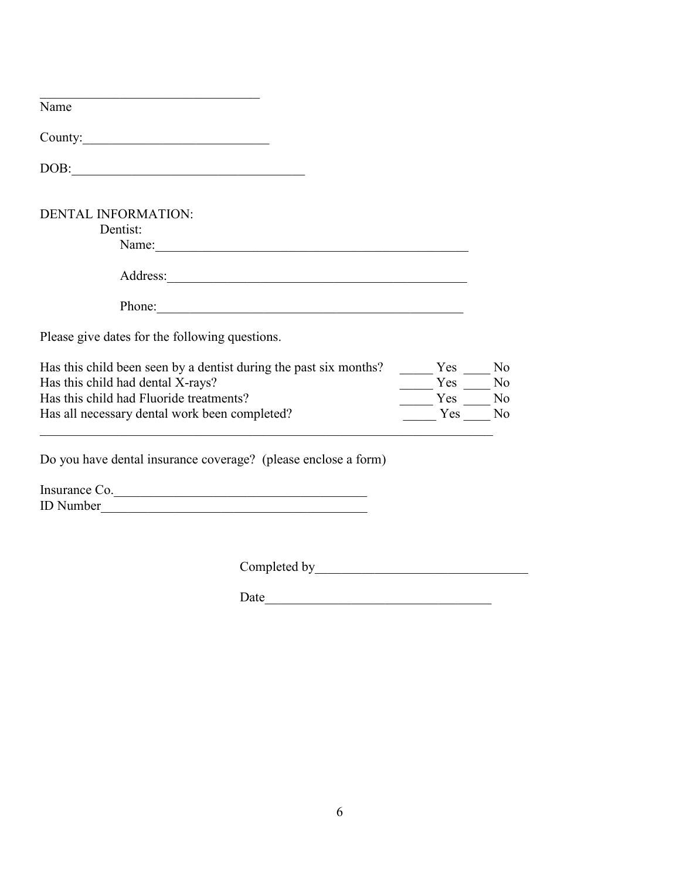| Name                                                                                                   |            |                      |
|--------------------------------------------------------------------------------------------------------|------------|----------------------|
|                                                                                                        |            |                      |
| DOB:<br><u> 1980 - Johann Barbara, martxa alemaniar a</u>                                              |            |                      |
| <b>DENTAL INFORMATION:</b>                                                                             |            |                      |
| Dentist:<br>Name:                                                                                      |            |                      |
|                                                                                                        |            |                      |
| Phone:<br><u> 1989 - Johann John Stein, mars an deus Amerikaansk kommunister (</u>                     |            |                      |
| Please give dates for the following questions.                                                         |            |                      |
| Has this child been seen by a dentist during the past six months?<br>Has this child had dental X-rays? | Yes<br>Yes | N <sub>o</sub><br>No |
| Has this child had Fluoride treatments?                                                                | Yes        | No                   |
| Has all necessary dental work been completed?                                                          | Yes        | No                   |
| Do you have dental insurance coverage? (please enclose a form)                                         |            |                      |
| Insurance Co.                                                                                          |            |                      |

Completed by\_\_\_\_\_\_\_\_\_\_\_\_\_\_\_\_\_\_\_\_\_\_\_\_\_\_\_\_\_\_\_\_

ID Number

 $Date$   $\qquad \qquad$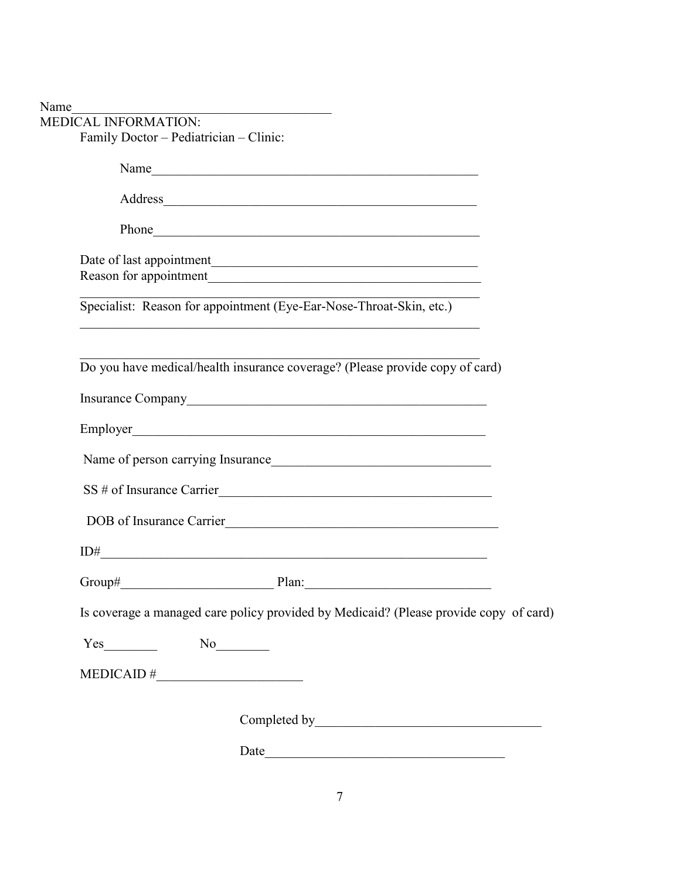| <b>MEDICAL INFORMATION:</b> |                                                                                                                                                                                                                                |  |
|-----------------------------|--------------------------------------------------------------------------------------------------------------------------------------------------------------------------------------------------------------------------------|--|
|                             | Family Doctor - Pediatrician - Clinic:                                                                                                                                                                                         |  |
|                             | Name                                                                                                                                                                                                                           |  |
|                             | Address and the contract of the contract of the contract of the contract of the contract of the contract of the contract of the contract of the contract of the contract of the contract of the contract of the contract of th |  |
|                             | Phone https://www.archive.com/communications/communications/communications/communications/communications/communications/communications/communications/communications/communications/communications/communications/communicatio |  |
|                             |                                                                                                                                                                                                                                |  |
|                             | Specialist: Reason for appointment (Eye-Ear-Nose-Throat-Skin, etc.)                                                                                                                                                            |  |
|                             | Do you have medical/health insurance coverage? (Please provide copy of card)                                                                                                                                                   |  |
|                             |                                                                                                                                                                                                                                |  |
|                             |                                                                                                                                                                                                                                |  |
|                             | Name of person carrying Insurance                                                                                                                                                                                              |  |
|                             | SS # of Insurance Carrier                                                                                                                                                                                                      |  |
|                             | DOB of Insurance Carrier                                                                                                                                                                                                       |  |
|                             | $ID# \underbrace{\qquad \qquad }$                                                                                                                                                                                              |  |
|                             |                                                                                                                                                                                                                                |  |
|                             | Is coverage a managed care policy provided by Medicaid? (Please provide copy of card)                                                                                                                                          |  |
|                             |                                                                                                                                                                                                                                |  |
|                             | $MEDICAID \#$                                                                                                                                                                                                                  |  |
|                             |                                                                                                                                                                                                                                |  |
|                             |                                                                                                                                                                                                                                |  |

Date\_\_\_\_\_\_\_\_\_\_\_\_\_\_\_\_\_\_\_\_\_\_\_\_\_\_\_\_\_\_\_\_\_\_\_\_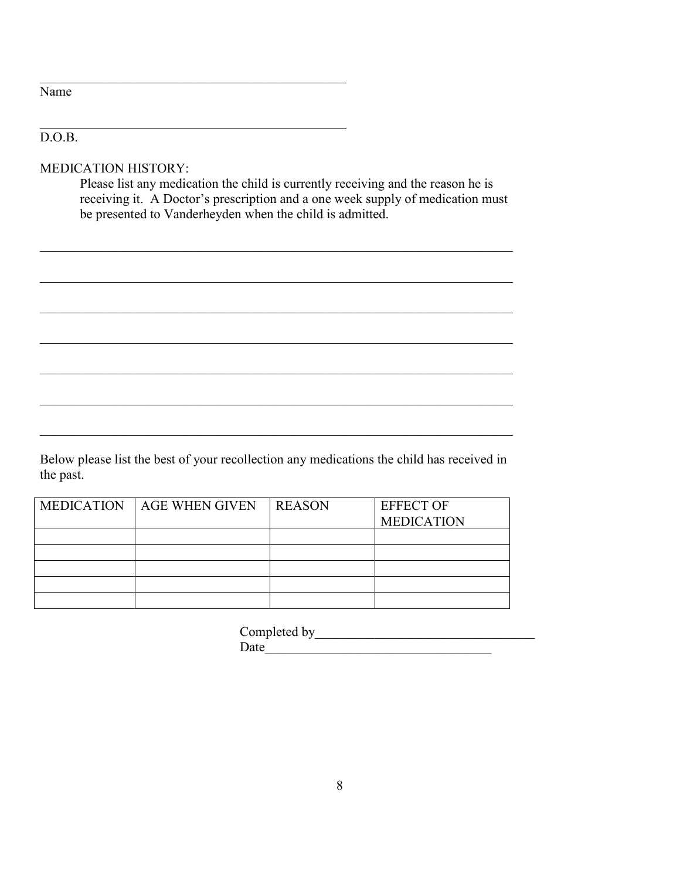| ır<br>.,<br>r<br>π |  |
|--------------------|--|
|--------------------|--|

## $\overline{D.O.B.}$

MEDICATION HISTORY:

Please list any medication the child is currently receiving and the reason he is receiving it. A Doctor's prescription and a one week supply of medication must be presented to Vanderheyden when the child is admitted.

 $\_$ 

 $\mathcal{L}_\mathcal{L} = \{ \mathcal{L}_\mathcal{L} = \{ \mathcal{L}_\mathcal{L} = \{ \mathcal{L}_\mathcal{L} = \{ \mathcal{L}_\mathcal{L} = \{ \mathcal{L}_\mathcal{L} = \{ \mathcal{L}_\mathcal{L} = \{ \mathcal{L}_\mathcal{L} = \{ \mathcal{L}_\mathcal{L} = \{ \mathcal{L}_\mathcal{L} = \{ \mathcal{L}_\mathcal{L} = \{ \mathcal{L}_\mathcal{L} = \{ \mathcal{L}_\mathcal{L} = \{ \mathcal{L}_\mathcal{L} = \{ \mathcal{L}_\mathcal{$ 

\_\_\_\_\_\_\_\_\_\_\_\_\_\_\_\_\_\_\_\_\_\_\_\_\_\_\_\_\_\_\_\_\_\_\_\_\_\_\_\_\_\_\_\_\_\_\_\_\_\_\_\_\_\_\_\_\_\_\_\_\_\_\_\_\_\_\_\_\_\_\_

\_\_\_\_\_\_\_\_\_\_\_\_\_\_\_\_\_\_\_\_\_\_\_\_\_\_\_\_\_\_\_\_\_\_\_\_\_\_\_\_\_\_\_\_\_\_\_\_\_\_\_\_\_\_\_\_\_\_\_\_\_\_\_\_\_\_\_\_\_\_\_

\_\_\_\_\_\_\_\_\_\_\_\_\_\_\_\_\_\_\_\_\_\_\_\_\_\_\_\_\_\_\_\_\_\_\_\_\_\_\_\_\_\_\_\_\_\_\_\_\_\_\_\_\_\_\_\_\_\_\_\_\_\_\_\_\_\_\_\_\_\_\_

Below please list the best of your recollection any medications the child has received in the past.

| <b>MEDICATION</b> | <b>AGE WHEN GIVEN</b> | <b>REASON</b> | <b>EFFECT OF</b><br><b>MEDICATION</b> |
|-------------------|-----------------------|---------------|---------------------------------------|
|                   |                       |               |                                       |
|                   |                       |               |                                       |
|                   |                       |               |                                       |
|                   |                       |               |                                       |
|                   |                       |               |                                       |
|                   |                       |               |                                       |

Completed by\_\_\_\_\_\_\_\_\_\_\_\_\_\_\_\_\_\_\_\_\_\_\_\_\_\_\_\_\_\_\_\_\_  $Date$   $\overline{\phantom{a}}$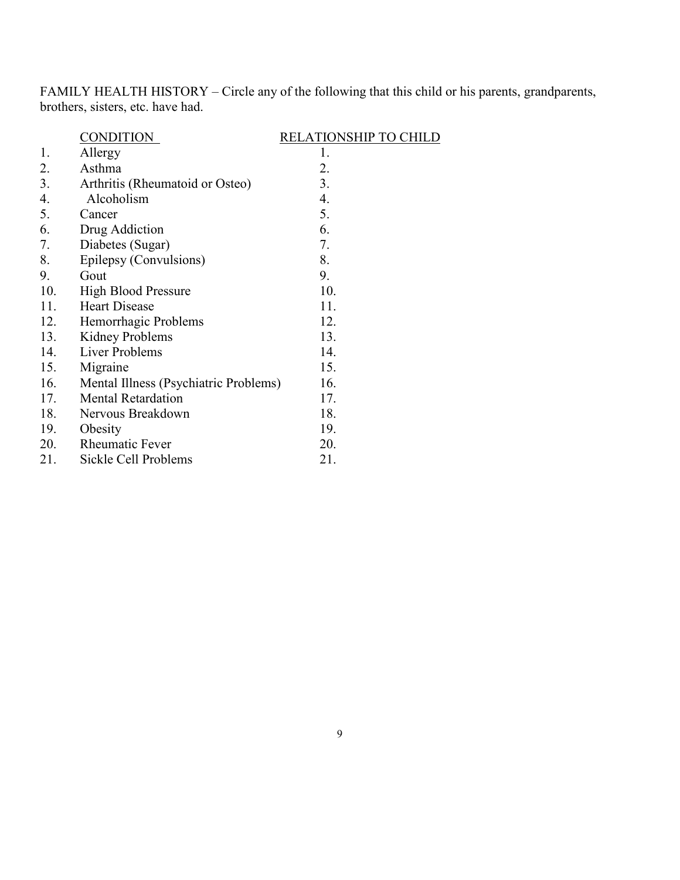FAMILY HEALTH HISTORY – Circle any of the following that this child or his parents, grandparents, brothers, sisters, etc. have had.

|     | <b>CONDITION</b>                      | <b>RELATIONSHIP TO CHILD</b> |
|-----|---------------------------------------|------------------------------|
| 1.  | Allergy                               | 1.                           |
| 2.  | Asthma                                | 2.                           |
| 3.  | Arthritis (Rheumatoid or Osteo)       | 3.                           |
| 4.  | Alcoholism                            | 4.                           |
| 5.  | Cancer                                | 5.                           |
| 6.  | Drug Addiction                        | 6.                           |
| 7.  | Diabetes (Sugar)                      | 7.                           |
| 8.  | Epilepsy (Convulsions)                | 8.                           |
| 9.  | Gout                                  | 9.                           |
| 10. | <b>High Blood Pressure</b>            | 10.                          |
| 11. | <b>Heart Disease</b>                  | 11.                          |
| 12. | Hemorrhagic Problems                  | 12.                          |
| 13. | <b>Kidney Problems</b>                | 13.                          |
| 14. | Liver Problems                        | 14.                          |
| 15. | Migraine                              | 15.                          |
| 16. | Mental Illness (Psychiatric Problems) | 16.                          |
| 17. | <b>Mental Retardation</b>             | 17.                          |
| 18. | Nervous Breakdown                     | 18.                          |
| 19. | Obesity                               | 19.                          |
| 20. | <b>Rheumatic Fever</b>                | 20.                          |
| 21. | Sickle Cell Problems                  | 21.                          |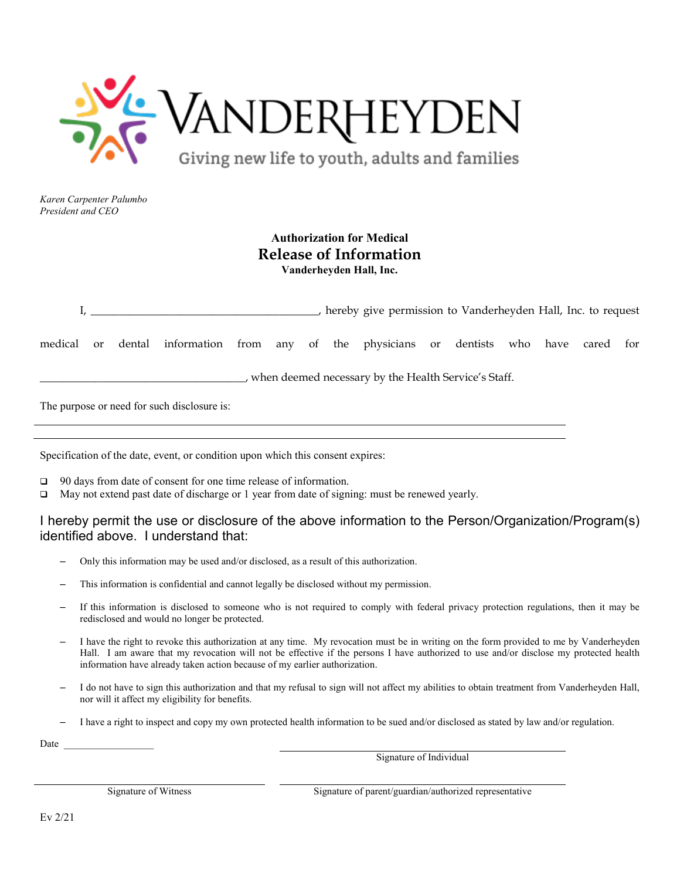

## **Authorization for Medical Release of Information Vanderheyden Hall, Inc.**

|                                                        |    |  |                                                                              |  |  |  |  | hereby give permission to Vanderheyden Hall, Inc. to request |  |  |  |
|--------------------------------------------------------|----|--|------------------------------------------------------------------------------|--|--|--|--|--------------------------------------------------------------|--|--|--|
| medical                                                | or |  | dental information from any of the physicians or dentists who have cared for |  |  |  |  |                                                              |  |  |  |
| , when deemed necessary by the Health Service's Staff. |    |  |                                                                              |  |  |  |  |                                                              |  |  |  |
|                                                        |    |  | The purpose or need for such disclosure is:                                  |  |  |  |  |                                                              |  |  |  |

Specification of the date, event, or condition upon which this consent expires:

- □ 90 days from date of consent for one time release of information.
- May not extend past date of discharge or 1 year from date of signing: must be renewed yearly.

## I hereby permit the use or disclosure of the above information to the Person/Organization/Program(s) identified above. I understand that:

- Only this information may be used and/or disclosed, as a result of this authorization.
- This information is confidential and cannot legally be disclosed without my permission.
- If this information is disclosed to someone who is not required to comply with federal privacy protection regulations, then it may be redisclosed and would no longer be protected.
- I have the right to revoke this authorization at any time. My revocation must be in writing on the form provided to me by Vanderheyden Hall. I am aware that my revocation will not be effective if the persons I have authorized to use and/or disclose my protected health information have already taken action because of my earlier authorization.
- I do not have to sign this authorization and that my refusal to sign will not affect my abilities to obtain treatment from Vanderheyden Hall, nor will it affect my eligibility for benefits.
- I have a right to inspect and copy my own protected health information to be sued and/or disclosed as stated by law and/or regulation.

Date \_

Signature of Individual

Signature of Witness Signature of parent/guardian/authorized representative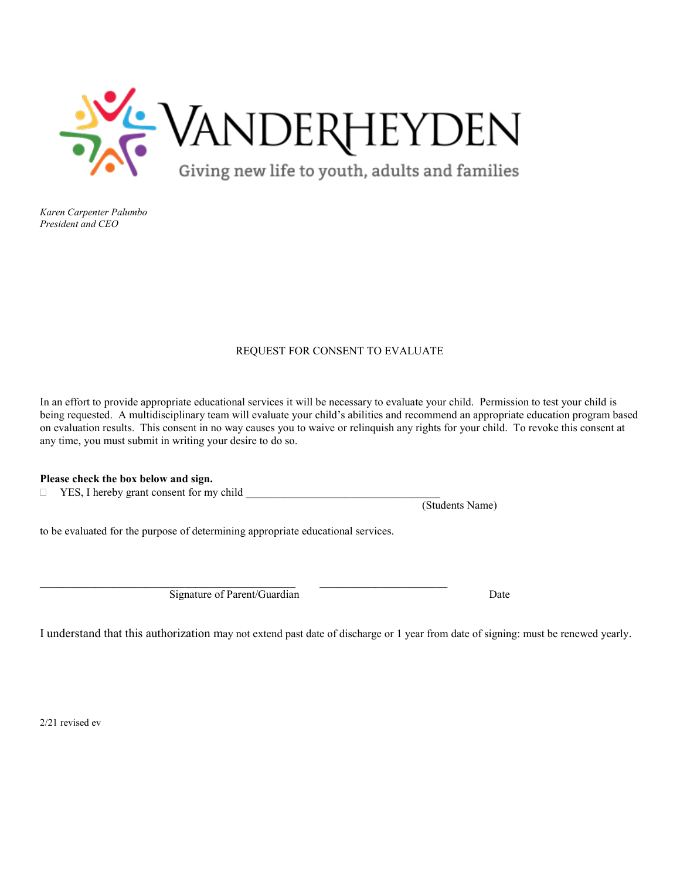

## REQUEST FOR CONSENT TO EVALUATE

In an effort to provide appropriate educational services it will be necessary to evaluate your child. Permission to test your child is being requested. A multidisciplinary team will evaluate your child's abilities and recommend an appropriate education program based on evaluation results. This consent in no way causes you to waive or relinquish any rights for your child. To revoke this consent at any time, you must submit in writing your desire to do so.

## **Please check the box below and sign.**

 $\Box$  YES, I hereby grant consent for my child

to be evaluated for the purpose of determining appropriate educational services.

 $\_$  , and the state of the state of the state of the state of the state of the state of the state of the state of the state of the state of the state of the state of the state of the state of the state of the state of the Signature of Parent/Guardian Date

(Students Name)

I understand that this authorization may not extend past date of discharge or 1 year from date of signing: must be renewed yearly.

2/21 revised ev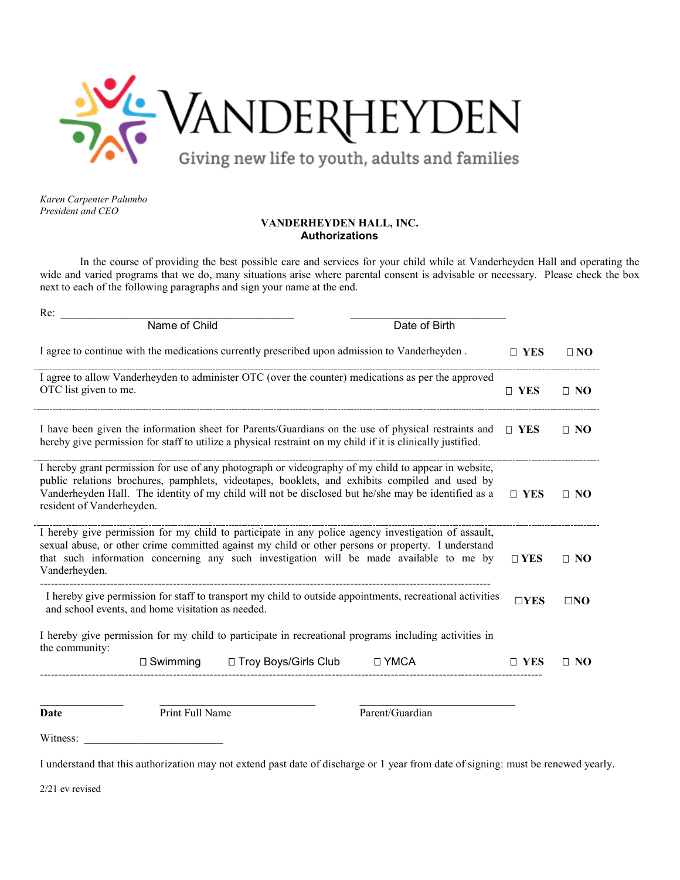

## **VANDERHEYDEN HALL, INC. Authorizations**

In the course of providing the best possible care and services for your child while at Vanderheyden Hall and operating the wide and varied programs that we do, many situations arise where parental consent is advisable or necessary. Please check the box next to each of the following paragraphs and sign your name at the end.

| Re:                                                                                                                                                                                                                                                                                                                                        |               |              |
|--------------------------------------------------------------------------------------------------------------------------------------------------------------------------------------------------------------------------------------------------------------------------------------------------------------------------------------------|---------------|--------------|
| Name of Child<br>Date of Birth                                                                                                                                                                                                                                                                                                             |               |              |
| I agree to continue with the medications currently prescribed upon admission to Vanderheyden.                                                                                                                                                                                                                                              | $\Box$ YES    | $\Box$ NO    |
| I agree to allow Vanderheyden to administer OTC (over the counter) medications as per the approved<br>OTC list given to me.                                                                                                                                                                                                                | $\Box$ YES    | $\Box$ NO    |
| I have been given the information sheet for Parents/Guardians on the use of physical restraints and<br>hereby give permission for staff to utilize a physical restraint on my child if it is clinically justified.                                                                                                                         | $\Box$ YES    | $\Box$ NO    |
| I hereby grant permission for use of any photograph or videography of my child to appear in website,<br>public relations brochures, pamphlets, videotapes, booklets, and exhibits compiled and used by<br>Vanderheyden Hall. The identity of my child will not be disclosed but he/she may be identified as a<br>resident of Vanderheyden. | $\square$ YES | $\Box$ NO    |
| I hereby give permission for my child to participate in any police agency investigation of assault,<br>sexual abuse, or other crime committed against my child or other persons or property. I understand<br>that such information concerning any such investigation will be made available to me by<br>Vanderheyden.                      | $\Box$ YES    | $\Box$ NO    |
| I hereby give permission for staff to transport my child to outside appointments, recreational activities<br>and school events, and home visitation as needed.                                                                                                                                                                             |               | $\square$ NO |
| I hereby give permission for my child to participate in recreational programs including activities in<br>the community:                                                                                                                                                                                                                    |               |              |
| □ Troy Boys/Girls Club<br>□ YMCA<br>$\Box$ Swimming                                                                                                                                                                                                                                                                                        | $\Box$ YES    | $\Box$ NO    |
|                                                                                                                                                                                                                                                                                                                                            |               |              |
| Print Full Name<br>Parent/Guardian<br>Date                                                                                                                                                                                                                                                                                                 |               |              |

Witness:

I understand that this authorization may not extend past date of discharge or 1 year from date of signing: must be renewed yearly.

2/21 ev revised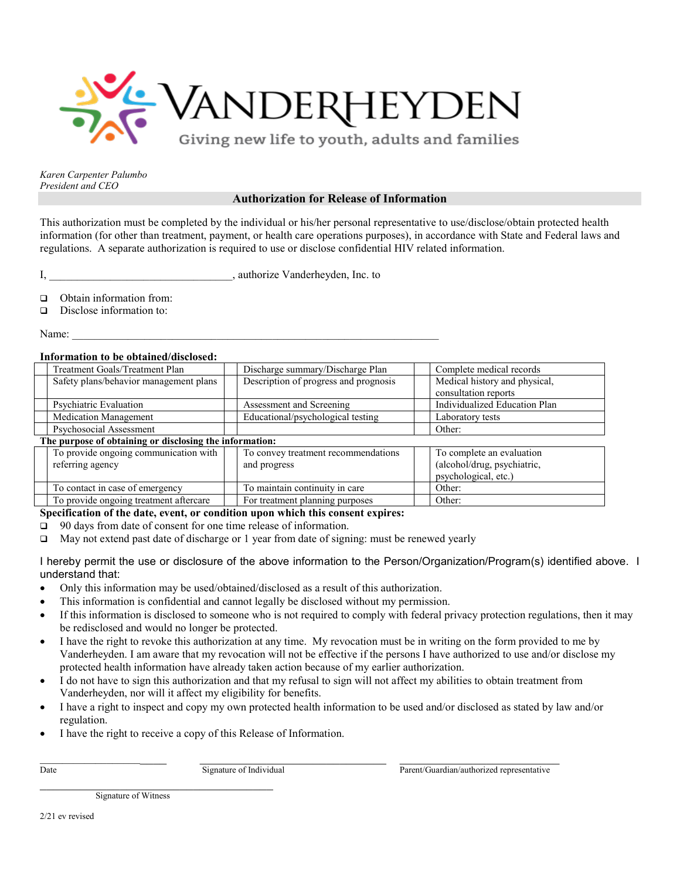

## **Authorization for Release of Information**

This authorization must be completed by the individual or his/her personal representative to use/disclose/obtain protected health information (for other than treatment, payment, or health care operations purposes), in accordance with State and Federal laws and regulations. A separate authorization is required to use or disclose confidential HIV related information.

I, authorize Vanderheyden, Inc. to

□ Obtain information from:

 $\Box$  Disclose information to:

Name:  $\Box$ 

## **Information to be obtained/disclosed:**

| THIVE MALIVIE W IA VIALENCY/VISCIVSCO.                  |                                       |                               |  |
|---------------------------------------------------------|---------------------------------------|-------------------------------|--|
| Treatment Goals/Treatment Plan                          | Discharge summary/Discharge Plan      | Complete medical records      |  |
| Safety plans/behavior management plans                  | Description of progress and prognosis | Medical history and physical, |  |
|                                                         |                                       | consultation reports          |  |
| Psychiatric Evaluation                                  | Assessment and Screening              | Individualized Education Plan |  |
| <b>Medication Management</b>                            | Educational/psychological testing     | Laboratory tests              |  |
| Psychosocial Assessment                                 |                                       | Other:                        |  |
| The purpose of obtaining or disclosing the information: |                                       |                               |  |
| To provide ongoing communication with                   | To convey treatment recommendations   | To complete an evaluation     |  |
| referring agency                                        | and progress                          | (alcohol/drug, psychiatric,   |  |
|                                                         |                                       | psychological, etc.)          |  |
| To contact in case of emergency                         | To maintain continuity in care        | Other:                        |  |
| To provide ongoing treatment aftercare                  | For treatment planning purposes       | Other:                        |  |

**Specification of the date, event, or condition upon which this consent expires:** 

□ 90 days from date of consent for one time release of information.

May not extend past date of discharge or 1 year from date of signing: must be renewed yearly

I hereby permit the use or disclosure of the above information to the Person/Organization/Program(s) identified above. I understand that:

- Only this information may be used/obtained/disclosed as a result of this authorization.
- This information is confidential and cannot legally be disclosed without my permission.
- If this information is disclosed to someone who is not required to comply with federal privacy protection regulations, then it may be redisclosed and would no longer be protected.
- I have the right to revoke this authorization at any time. My revocation must be in writing on the form provided to me by Vanderheyden. I am aware that my revocation will not be effective if the persons I have authorized to use and/or disclose my protected health information have already taken action because of my earlier authorization.
- I do not have to sign this authorization and that my refusal to sign will not affect my abilities to obtain treatment from Vanderheyden, nor will it affect my eligibility for benefits.
- I have a right to inspect and copy my own protected health information to be used and/or disclosed as stated by law and/or regulation.
- I have the right to receive a copy of this Release of Information.

\_\_\_\_\_\_\_\_\_\_\_\_\_\_\_\_\_\_\_\_\_\_ \_\_\_\_\_\_\_\_\_\_\_\_\_\_\_\_\_\_\_\_\_\_\_\_\_\_\_\_ \_\_\_\_\_\_\_\_\_\_\_\_\_\_\_\_\_\_\_\_\_\_\_\_

Date Signature of Individual Parent/Guardian/authorized representative

Signature of Witness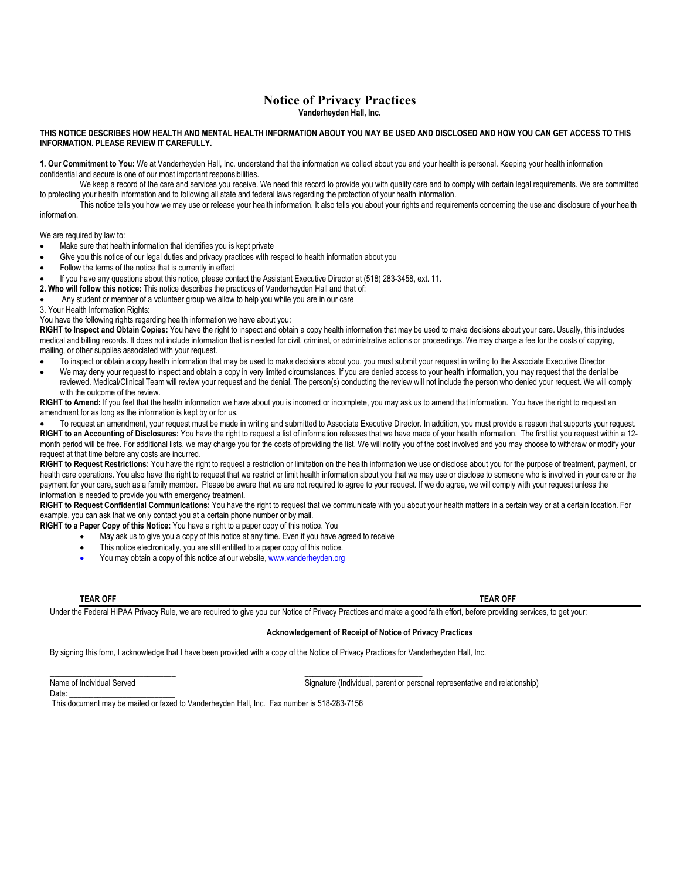## **Notice of Privacy Practices Vanderheyden Hall, Inc.**

### **THIS NOTICE DESCRIBES HOW HEALTH AND MENTAL HEALTH INFORMATION ABOUT YOU MAY BE USED AND DISCLOSED AND HOW YOU CAN GET ACCESS TO THIS INFORMATION. PLEASE REVIEW IT CAREFULLY.**

**1. Our Commitment to You:** We at Vanderheyden Hall, Inc. understand that the information we collect about you and your health is personal. Keeping your health information confidential and secure is one of our most important responsibilities.

We keep a record of the care and services you receive. We need this record to provide you with quality care and to comply with certain legal requirements. We are committed to protecting your health information and to following all state and federal laws regarding the protection of your health information.

This notice tells you how we may use or release your health information. It also tells you about your rights and requirements concerning the use and disclosure of your health information.

We are required by law to:

- Make sure that health information that identifies you is kept private
- Give you this notice of our legal duties and privacy practices with respect to health information about you
- Follow the terms of the notice that is currently in effect
- If you have any questions about this notice, please contact the Assistant Executive Director at (518) 283-3458, ext. 11.
- **2. Who will follow this notice:** This notice describes the practices of Vanderheyden Hall and that of:
- Any student or member of a volunteer group we allow to help you while you are in our care
- 3. Your Health Information Rights:

You have the following rights regarding health information we have about you:

**RIGHT to Inspect and Obtain Copies:** You have the right to inspect and obtain a copy health information that may be used to make decisions about your care. Usually, this includes medical and billing records. It does not include information that is needed for civil, criminal, or administrative actions or proceedings. We may charge a fee for the costs of copying, mailing, or other supplies associated with your request.

- To inspect or obtain a copy health information that may be used to make decisions about you, you must submit your request in writing to the Associate Executive Director
- We may deny your request to inspect and obtain a copy in very limited circumstances. If you are denied access to your health information, you may request that the denial be reviewed. Medical/Clinical Team will review your request and the denial. The person(s) conducting the review will not include the person who denied your request. We will comply with the outcome of the review.

**RIGHT to Amend:** If you feel that the health information we have about you is incorrect or incomplete, you may ask us to amend that information. You have the right to request an amendment for as long as the information is kept by or for us.

• To request an amendment, your request must be made in writing and submitted to Associate Executive Director. In addition, you must provide a reason that supports your request. **RIGHT to an Accounting of Disclosures:** You have the right to request a list of information releases that we have made of your health information. The first list you request within a 12 month period will be free. For additional lists, we may charge you for the costs of providing the list. We will notify you of the cost involved and you may choose to withdraw or modify your request at that time before any costs are incurred.

**RIGHT to Request Restrictions:** You have the right to request a restriction or limitation on the health information we use or disclose about you for the purpose of treatment, payment, or health care operations. You also have the right to request that we restrict or limit health information about you that we may use or disclose to someone who is involved in your care or the payment for your care, such as a family member. Please be aware that we are not required to agree to your request*.* If we do agree, we will comply with your request unless the information is needed to provide you with emergency treatment.

**RIGHT to Request Confidential Communications:** You have the right to request that we communicate with you about your health matters in a certain way or at a certain location. For example, you can ask that we only contact you at a certain phone number or by mail.

**RIGHT to a Paper Copy of this Notice:** You have a right to a paper copy of this notice. You

May ask us to give you a copy of this notice at any time. Even if you have agreed to receive

 $\frac{1}{2}$  ,  $\frac{1}{2}$  ,  $\frac{1}{2}$  ,  $\frac{1}{2}$  ,  $\frac{1}{2}$  ,  $\frac{1}{2}$  ,  $\frac{1}{2}$  ,  $\frac{1}{2}$  ,  $\frac{1}{2}$  ,  $\frac{1}{2}$  ,  $\frac{1}{2}$  ,  $\frac{1}{2}$  ,  $\frac{1}{2}$  ,  $\frac{1}{2}$  ,  $\frac{1}{2}$  ,  $\frac{1}{2}$  ,  $\frac{1}{2}$  ,  $\frac{1}{2}$  ,  $\frac{1$ 

- This notice electronically, you are still entitled to a paper copy of this notice.
- You may obtain a copy of this notice at our website, www.vanderheyden.org

**TEAR OFF TEAR OFF**

Under the Federal HIPAA Privacy Rule, we are required to give you our Notice of Privacy Practices and make a good faith effort, before providing services, to get your:

### **Acknowledgement of Receipt of Notice of Privacy Practices**

By signing this form, I acknowledge that I have been provided with a copy of the Notice of Privacy Practices for Vanderheyden Hall, Inc.

Date:

Name of Individual Served Signature (Individual, parent or personal representative and relationship)

This document may be mailed or faxed to Vanderheyden Hall, Inc. Fax number is 518-283-7156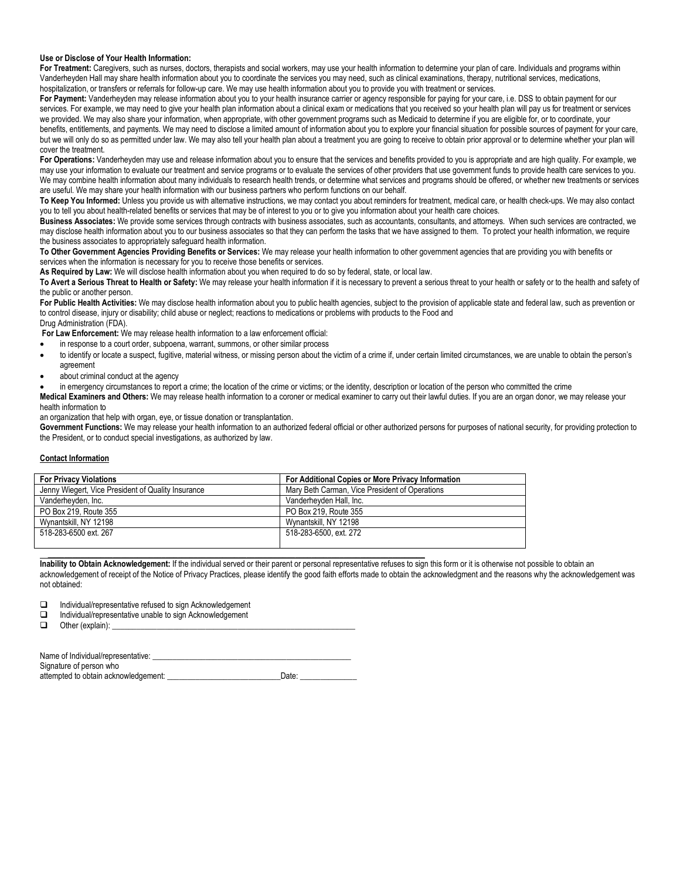### **Use or Disclose of Your Health Information:**

For Treatment: Caregivers, such as nurses, doctors, therapists and social workers, may use your health information to determine your plan of care. Individuals and programs within Vanderheyden Hall may share health information about you to coordinate the services you may need, such as clinical examinations, therapy, nutritional services, medications, hospitalization, or transfers or referrals for follow-up care. We may use health information about you to provide you with treatment or services.

For Payment: Vanderheyden may release information about you to your health insurance carrier or agency responsible for paying for your care, i.e. DSS to obtain payment for our services. For example, we may need to give your health plan information about a clinical exam or medications that you received so your health plan will pay us for treatment or services we provided. We may also share your information, when appropriate, with other government programs such as Medicaid to determine if you are eligible for, or to coordinate, your benefits, entitlements, and payments. We may need to disclose a limited amount of information about you to explore your financial situation for possible sources of payment for your care, but we will only do so as permitted under law. We may also tell your health plan about a treatment you are going to receive to obtain prior approval or to determine whether your plan will cover the treatment.

**For Operations:** Vanderheyden may use and release information about you to ensure that the services and benefits provided to you is appropriate and are high quality. For example, we may use your information to evaluate our treatment and service programs or to evaluate the services of other providers that use government funds to provide health care services to you. We may combine health information about many individuals to research health trends, or determine what services and programs should be offered, or whether new treatments or services are useful. We may share your health information with our business partners who perform functions on our behalf.

**To Keep You Informed:** Unless you provide us with alternative instructions, we may contact you about reminders for treatment, medical care, or health check-ups. We may also contact you to tell you about health-related benefits or services that may be of interest to you or to give you information about your health care choices.

**Business Associates:** We provide some services through contracts with business associates, such as accountants, consultants, and attorneys. When such services are contracted, we may disclose health information about you to our business associates so that they can perform the tasks that we have assigned to them. To protect your health information, we require the business associates to appropriately safeguard health information.

**To Other Government Agencies Providing Benefits or Services:** We may release your health information to other government agencies that are providing you with benefits or services when the information is necessary for you to receive those benefits or services.

**As Required by Law:** We will disclose health information about you when required to do so by federal, state, or local law.

To Avert a Serious Threat to Health or Safety: We may release your health information if it is necessary to prevent a serious threat to your health or safety or to the health and safety of the public or another person.

For Public Health Activities: We may disclose health information about you to public health agencies, subject to the provision of applicable state and federal law, such as prevention or to control disease, injury or disability; child abuse or neglect; reactions to medications or problems with products to the Food and Drug Administration (FDA).

**For Law Enforcement:** We may release health information to a law enforcement official:

- in response to a court order, subpoena, warrant, summons, or other similar process
- to identify or locate a suspect, fugitive, material witness, or missing person about the victim of a crime if, under certain limited circumstances, we are unable to obtain the person's agreement
- about criminal conduct at the agency

• in emergency circumstances to report a crime; the location of the crime or victims; or the identity, description or location of the person who committed the crime

**Medical Examiners and Others:** We may release health information to a coroner or medical examiner to carry out their lawful duties. If you are an organ donor, we may release your health information to

an organization that help with organ, eye, or tissue donation or transplantation.

Government Functions: We may release your health information to an authorized federal official or other authorized persons for purposes of national security, for providing protection to the President, or to conduct special investigations, as authorized by law.

### **Contact Information**

| <b>For Privacy Violations</b>                      | For Additional Copies or More Privacy Information |
|----------------------------------------------------|---------------------------------------------------|
| Jenny Wiegert, Vice President of Quality Insurance | Mary Beth Carman, Vice President of Operations    |
| Vanderhevden, Inc.                                 | Vanderhevden Hall, Inc.                           |
| PO Box 219, Route 355                              | PO Box 219, Route 355                             |
| Wynantskill, NY 12198                              | Wynantskill, NY 12198                             |
| 518-283-6500 ext. 267                              | 518-283-6500, ext. 272                            |
|                                                    |                                                   |

**Inability to Obtain Acknowledgement:** If the individual served or their parent or personal representative refuses to sign this form or it is otherwise not possible to obtain an acknowledgement of receipt of the Notice of Privacy Practices, please identify the good faith efforts made to obtain the acknowledgment and the reasons why the acknowledgement was not obtained:

- $\Box$  Individual/representative refused to sign Acknowledgement<br> $\Box$  Individual/representative unable to sign Acknowledgement
- $\Box$  Individual/representative unable to sign Acknowledgement  $\Box$  Other (explain):
- Other (explain):

| Name of Individual/representative:   |       |
|--------------------------------------|-------|
| Signature of person who              |       |
| attempted to obtain acknowledgement: | Date: |

**\_\_\_\_\_\_\_\_\_\_\_\_\_\_\_\_\_\_\_\_\_\_\_\_\_\_\_\_\_\_\_\_\_\_\_\_\_\_\_\_\_\_\_\_\_\_\_\_\_\_\_\_\_\_\_\_\_\_\_\_\_\_\_\_\_\_\_\_\_\_\_\_\_\_\_\_\_\_\_\_\_\_\_\_\_\_\_\_\_\_\_\_\_**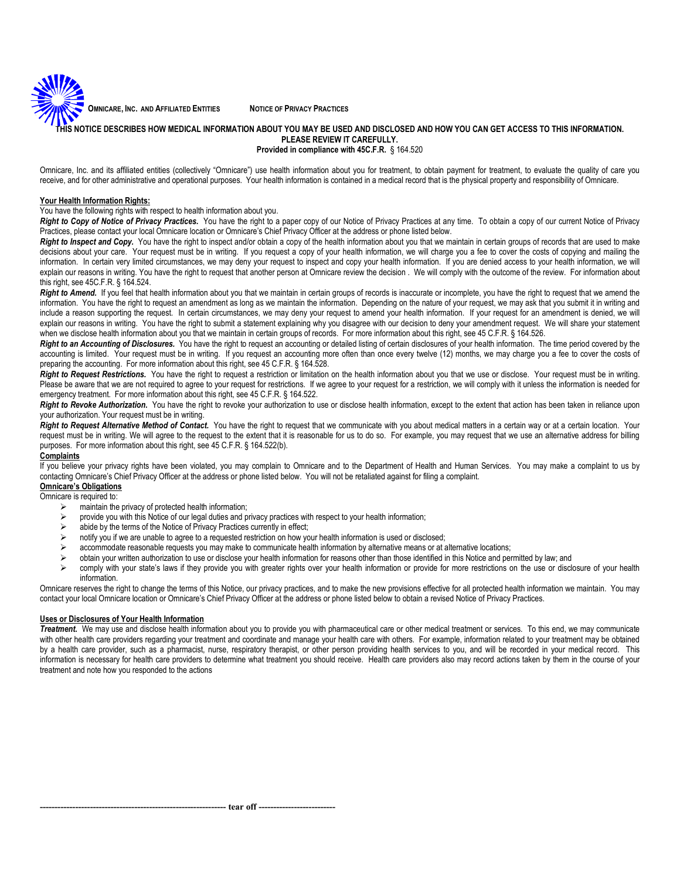**OMNICARE, INC. AND AFFILIATED ENTITIES NOTICE OF PRIVACY PRACTICES**

### **TIS NOTICE DESCRIBES HOW MEDICAL INFORMATION ABOUT YOU MAY BE USED AND DISCLOSED AND HOW YOU CAN GET ACCESS TO THIS INFORMATION. PLEASE REVIEW IT CAREFULLY. Provided in compliance with 45C.F.R.** § 164.520

Omnicare, Inc. and its affiliated entities (collectively "Omnicare") use health information about you for treatment, to obtain payment for treatment, to evaluate the quality of care you receive, and for other administrative and operational purposes. Your health information is contained in a medical record that is the physical property and responsibility of Omnicare.

### **Your Health Information Rights:**

You have the following rights with respect to health information about you.

Right to Copy of Notice of Privacy Practices. You have the right to a paper copy of our Notice of Privacy Practices at any time. To obtain a copy of our current Notice of Privacy Practices, please contact your local Omnicare location or Omnicare's Chief Privacy Officer at the address or phone listed below.

Right to Inspect and Copy. You have the right to inspect and/or obtain a copy of the health information about you that we maintain in certain groups of records that are used to make decisions about your care. Your request must be in writing. If you request a copy of your health information, we will charge you a fee to cover the costs of copying and mailing the information. In certain very limited circumstances, we may deny your request to inspect and copy your health information. If you are denied access to your health information, we will explain our reasons in writing. You have the right to request that another person at Omnicare review the decision . We will comply with the outcome of the review. For information about this right, see 45C.F.R. § 164.524.

Right to Amend. If you feel that health information about you that we maintain in certain groups of records is inaccurate or incomplete, you have the right to request that we amend the information. You have the right to request an amendment as long as we maintain the information. Depending on the nature of your request, we may ask that you submit it in writing and include a reason supporting the request. In certain circumstances, we may deny your request to amend your health information. If your request for an amendment is denied, we will explain our reasons in writing. You have the right to submit a statement explaining why you disagree with our decision to deny your amendment request. We will share your statement when we disclose health information about you that we maintain in certain groups of records. For more information about this right, see 45 C.F.R. § 164.526.

**Right to an Accounting of Disclosures.** You have the right to request an accounting or detailed listing of certain disclosures of your health information. The time period covered by the accounting is limited. Your request must be in writing. If you request an accounting more often than once every twelve (12) months, we may charge you a fee to cover the costs of preparing the accounting. For more information about this right, see 45 C.F.R. § 164.528.

**Right to Request Restrictions.** You have the right to request a restriction or limitation on the health information about you that we use or disclose. Your request must be in writing. Please be aware that we are not required to agree to your request for restrictions. If we agree to your request for a restriction, we will comply with it unless the information is needed for emergency treatment. For more information about this right, see 45 C.F.R. § 164.522.

Right to Revoke Authorization. You have the right to revoke your authorization to use or disclose health information, except to the extent that action has been taken in reliance upon your authorization. Your request must be in writing.

Right to Request Alternative Method of Contact. You have the right to request that we communicate with you about medical matters in a certain way or at a certain location. Your request must be in writing. We will agree to the request to the extent that it is reasonable for us to do so. For example, you may request that we use an alternative address for billing purposes. For more information about this right, see 45 C.F.R. § 164.522(b).

### **Complaints**

If you believe your privacy rights have been violated, you may complain to Omnicare and to the Department of Health and Human Services. You may make a complaint to us by contacting Omnicare's Chief Privacy Officer at the address or phone listed below. You will not be retaliated against for filing a complaint.

## **Omnicare's Obligations**

- Omnicare is required to:<br>  $\triangleright$  maintain the
	- maintain the privacy of protected health information;<br>  $\geq$  provide you with this Notice of our legal duties and p provide you with this Notice of our legal duties and privacy practices with respect to your health information;
	- $\triangleright$  abide by the terms of the Notice of Privacy Practices currently in effect;
	- notify you if we are unable to agree to a requested restriction on how your health information is used or disclosed;
	- accommodate reasonable requests you may make to communicate health information by alternative means or at alternative locations;
	- obtain your written authorization to use or disclose your health information for reasons other than those identified in this Notice and permitted by law; and
	- comply with your state's laws if they provide you with greater rights over your health information or provide for more restrictions on the use or disclosure of your health information.

Omnicare reserves the right to change the terms of this Notice, our privacy practices, and to make the new provisions effective for all protected health information we maintain. You may contact your local Omnicare location or Omnicare's Chief Privacy Officer at the address or phone listed below to obtain a revised Notice of Privacy Practices.

### **Uses or Disclosures of Your Health Information**

*Treatment***.** We may use and disclose health information about you to provide you with pharmaceutical care or other medical treatment or services. To this end, we may communicate with other health care providers regarding your treatment and coordinate and manage your health care with others. For example, information related to your treatment may be obtained by a health care provider, such as a pharmacist, nurse, respiratory therapist, or other person providing health services to you, and will be recorded in your medical record. This information is necessary for health care providers to determine what treatment you should receive. Health care providers also may record actions taken by them in the course of your treatment and note how you responded to the actions

**tear off --**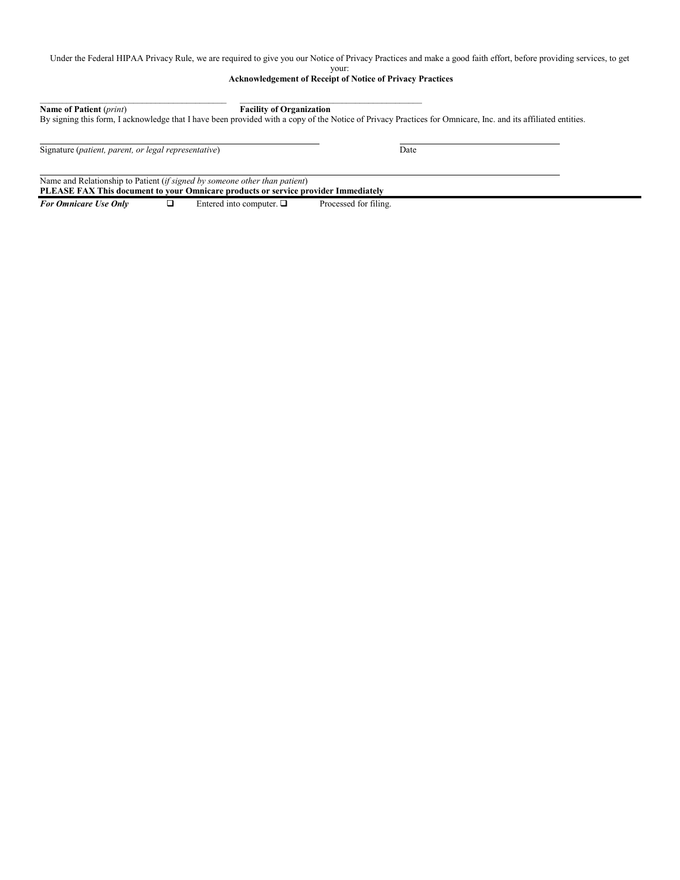Under the Federal HIPAA Privacy Rule, we are required to give you our Notice of Privacy Practices and make a good faith effort, before providing services, to get

### your:

**Acknowledgement of Receipt of Notice of Privacy Practices**

| <b>Name of Patient</b> ( <i>print</i> ) | <b>Facility of Organization</b>                                                                                                                              |
|-----------------------------------------|--------------------------------------------------------------------------------------------------------------------------------------------------------------|
|                                         | By signing this form, I acknowledge that I have been provided with a copy of the Notice of Privacy Practices for Omnicare, Inc. and its affiliated entities. |
|                                         |                                                                                                                                                              |

Signature (*patient, parent, or legal representative*) Date

Name and Relationship to Patient (*if signed by someone other than patient*)

**PLEASE FAX This document to your Omnicare products or service provider Immediately** For Omnicare Use Only  $\Box$  Entered into computer.  $\Box$  Processed for filing.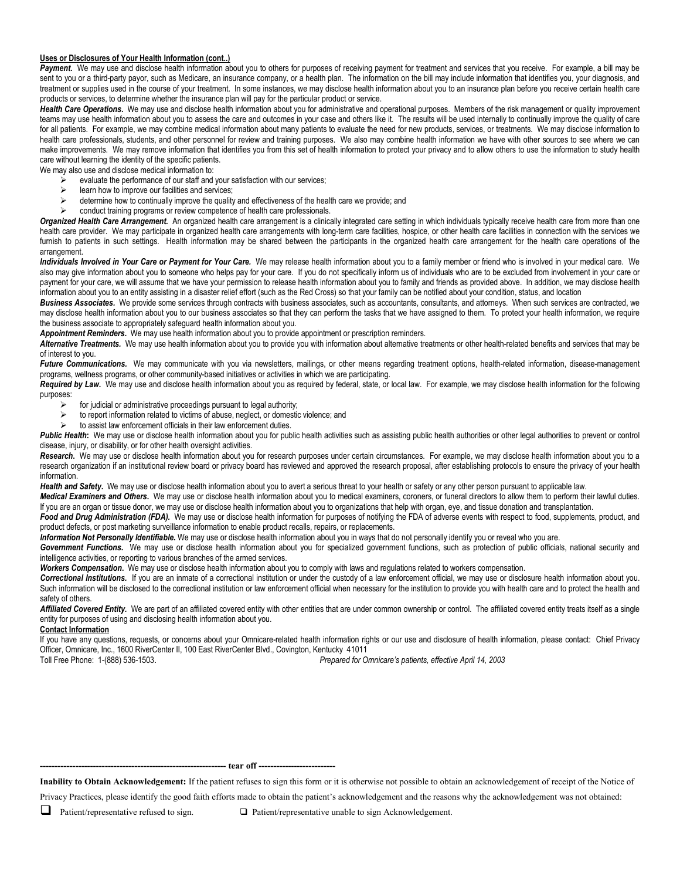### **Uses or Disclosures of Your Health Information (cont..)**

Payment. We may use and disclose health information about you to others for purposes of receiving payment for treatment and services that you receive. For example, a bill may be sent to you or a third-party payor, such as Medicare, an insurance company, or a health plan. The information on the bill may include information that identifies you, your diagnosis, and treatment or supplies used in the course of your treatment. In some instances, we may disclose health information about you to an insurance plan before you receive certain health care products or services, to determine whether the insurance plan will pay for the particular product or service.

Health Care Operations. We may use and disclose health information about you for administrative and operational purposes. Members of the risk management or quality improvement teams may use health information about you to assess the care and outcomes in your case and others like it. The results will be used internally to continually improve the quality of care for all patients. For example, we may combine medical information about many patients to evaluate the need for new products, services, or treatments. We may disclose information to health care professionals, students, and other personnel for review and training purposes. We also may combine health information we have with other sources to see where we can make improvements. We may remove information that identifies you from this set of health information to protect your privacy and to allow others to use the information to study health care without learning the identity of the specific patients.

We may also use and disclose medical information to:

- $\ge$  evaluate the performance of our staff and your satisfaction with our services;<br> $\ge$  learn how to improve our facilities and services;
- is learn how to improve our facilities and services;<br>  $\geq$  determine how to continually improve the quality
- determine how to continually improve the quality and effectiveness of the health care we provide; and
- conduct training programs or review competence of health care professionals.

Organized Health Care Arrangement. An organized health care arrangement is a clinically integrated care setting in which individuals typically receive health care from more than one health care provider. We may participate in organized health care arrangements with long-term care facilities, hospice, or other health care facilities in connection with the services we furnish to patients in such settings. Health information may be shared between the participants in the organized health care arrangement for the health care operations of the arrangement.

*Individuals Involved in Your Care or Payment for Your Care.* We may release health information about you to a family member or friend who is involved in your medical care. We also may give information about you to someone who helps pay for your care. If you do not specifically inform us of individuals who are to be excluded from involvement in your care or payment for your care, we will assume that we have your permission to release health information about you to family and friends as provided above. In addition, we may disclose health information about you to an entity assisting in a disaster relief effort (such as the Red Cross) so that your family can be notified about your condition, status, and location

**Business Associates.** We provide some services through contracts with business associates, such as accountants, consultants, and attorneys. When such services are contracted, we may disclose health information about you to our business associates so that they can perform the tasks that we have assigned to them. To protect your health information, we require the business associate to appropriately safeguard health information about you.

*Appointment Reminders***.** We may use health information about you to provide appointment or prescription reminders.

*Alternative Treatments.* We may use health information about you to provide you with information about alternative treatments or other health-related benefits and services that may be of interest to you.

Future Communications. We may communicate with you via newsletters, mailings, or other means regarding treatment options, health-related information, disease-management programs, wellness programs, or other community-based initiatives or activities in which we are participating.

Required by Law. We may use and disclose health information about you as required by federal, state, or local law. For example, we may disclose health information for the following purposes:

- $\triangleright$  for judicial or administrative proceedings pursuant to legal authority;
- $\triangleright$  to report information related to victims of abuse, neglect, or domestic violence; and
- to assist law enforcement officials in their law enforcement duties.

Public Health: We may use or disclose health information about you for public health activities such as assisting public health authorities or other legal authorities to prevent or control disease, injury, or disability, or for other health oversight activities.

Research. We may use or disclose health information about you for research purposes under certain circumstances. For example, we may disclose health information about you to a research organization if an institutional review board or privacy board has reviewed and approved the research proposal, after establishing protocols to ensure the privacy of your health information.

Health and Safety. We may use or disclose health information about you to avert a serious threat to your health or safety or any other person pursuant to applicable law.

*Medical Examiners and Others***.** We may use or disclose health information about you to medical examiners, coroners, or funeral directors to allow them to perform their lawful duties. If you are an organ or tissue donor, we may use or disclose health information about you to organizations that help with organ, eye, and tissue donation and transplantation.

Food and Drug Administration (FDA). We may use or disclose health information for purposes of notifying the FDA of adverse events with respect to food, supplements, product, and product defects, or post marketing surveillance information to enable product recalls, repairs, or replacements.

*Information Not Personally Identifiable.* We may use or disclose health information about you in ways that do not personally identify you or reveal who you are.

Government Functions. We may use or disclose health information about you for specialized government functions, such as protection of public officials, national security and intelligence activities, or reporting to various branches of the armed services.

*Workers Compensation***.** We may use or disclose health information about you to comply with laws and regulations related to workers compensation.

*Correctional Institutions.* If you are an inmate of a correctional institution or under the custody of a law enforcement official, we may use or disclosure health information about you. Such information will be disclosed to the correctional institution or law enforcement official when necessary for the institution to provide you with health care and to protect the health and safety of others.

Affiliated Covered Entity. We are part of an affiliated covered entity with other entities that are under common ownership or control. The affiliated covered entity treats itself as a single entity for purposes of using and disclosing health information about you.

### **Contact Information**

If you have any questions, requests, or concerns about your Omnicare-related health information rights or our use and disclosure of health information, please contact: Chief Privacy Officer, Omnicare, Inc., 1600 RiverCenter II, 100 East RiverCenter Blvd., Covington, Kentucky 41011<br>Toll Free Phone: 1-(888) 536-1503. Prepared for O

Prepared for Omnicare's patients, effective April 14, 2003.

**--------------------------------------------------------------- tear off --------------------------**

**Inability to Obtain Acknowledgement:** If the patient refuses to sign this form or it is otherwise not possible to obtain an acknowledgement of receipt of the Notice of

Privacy Practices, please identify the good faith efforts made to obtain the patient's acknowledgement and the reasons why the acknowledgement was not obtained:

■ Patient/representative refused to sign. ■ Patient/representative unable to sign Acknowledgement.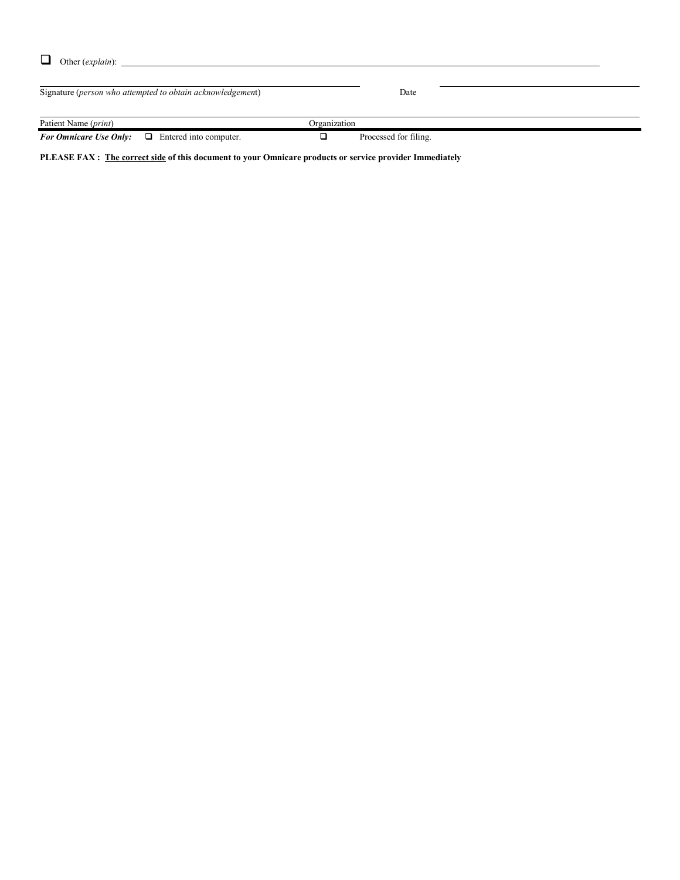| Other ( <i>explain</i> ): |
|---------------------------|

Signature (*person who attempted to obtain acknowledgemen*t) Date Patient Name (*print*) Organization *For Omnicare Use Only:*  $\Box$  Entered into computer.  $\Box$  Processed for filing.

**PLEASE FAX : The correct side of this document to your Omnicare products or service provider Immediately**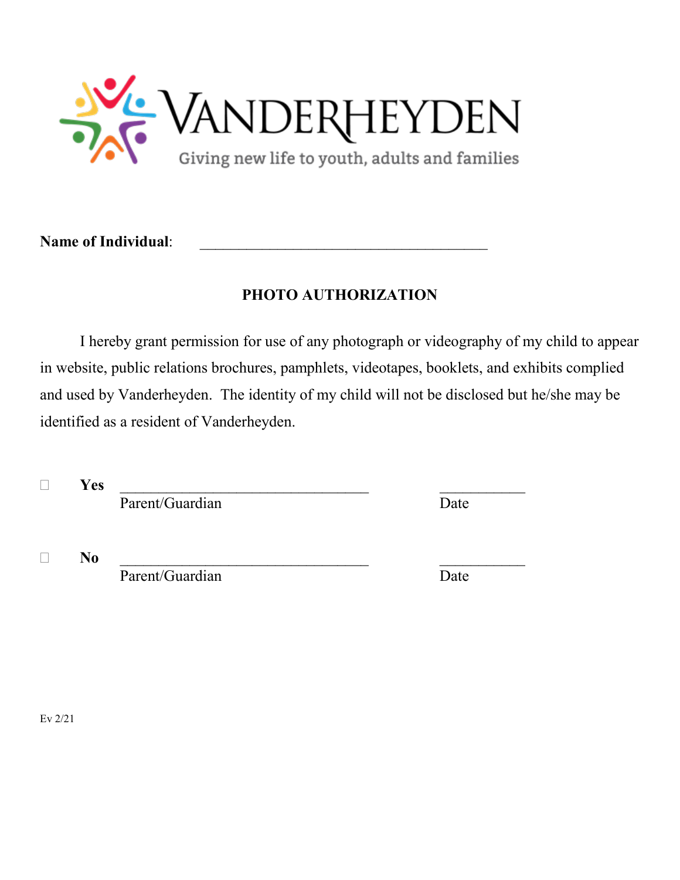

Name of Individual:

# **PHOTO AUTHORIZATION**

I hereby grant permission for use of any photograph or videography of my child to appear in website, public relations brochures, pamphlets, videotapes, booklets, and exhibits complied and used by Vanderheyden. The identity of my child will not be disclosed but he/she may be identified as a resident of Vanderheyden.

**Yes** \_\_\_\_\_\_\_\_\_\_\_\_\_\_\_\_\_\_\_\_\_\_\_\_\_\_\_\_\_\_\_\_ \_\_\_\_\_\_\_\_\_\_\_

Parent/Guardian Date

**No** \_\_\_\_\_\_\_\_\_\_\_\_\_\_\_\_\_\_\_\_\_\_\_\_\_\_\_\_\_\_\_\_ \_\_\_\_\_\_\_\_\_\_\_

Parent/Guardian Date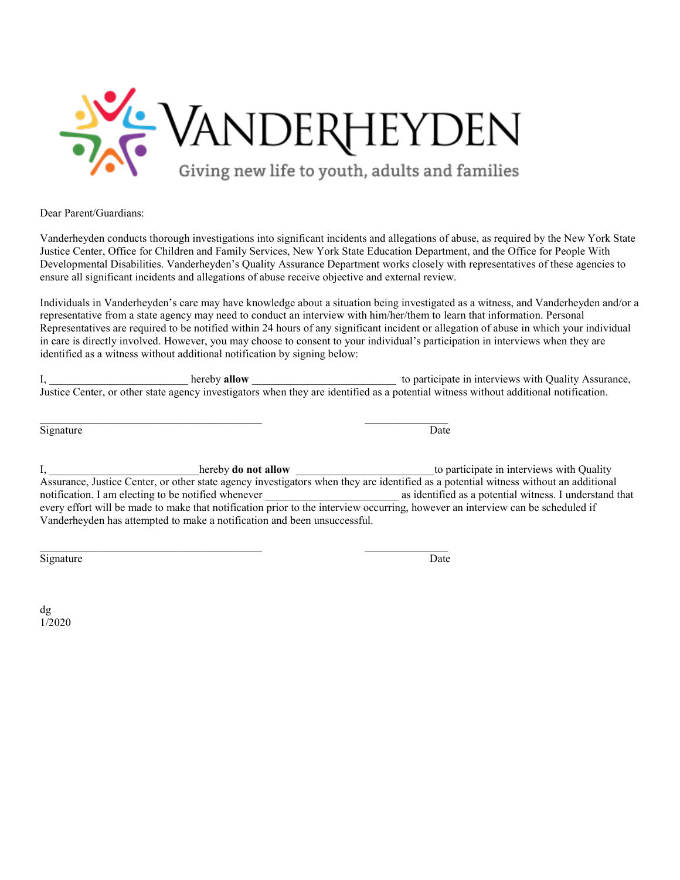

Dear Parent/Guardians:

Vanderheyden conducts thorough investigations into significant incidents and allegations of abuse, as required by the New York State Justice Center, Office for Children and Family Services, New York State Education Department, and the Office for People With Developmental Disabilities. Vanderheyden's Quality Assurance Department works closely with representatives of these agencies to ensure all significant incidents and allegations of abuse receive objective and external review.

Individuals in Vanderheyden's care may have knowledge about a situation being investigated as a witness, and Vanderheyden and/or a representative from a state agency may need to conduct an interview with him/her/them to learn that information. Personal Representatives are required to be notified within 24 hours of any significant incident or allegation of abuse in which your individual in care is directly involved. However, you may choose to consent to your individual's participation in interviews when they are identified as a witness without additional notification by signing below:

I, \_\_\_\_\_\_\_\_\_\_\_\_\_\_\_\_\_\_\_\_\_\_\_\_\_ hereby **allow** \_\_\_\_\_\_\_\_\_\_\_\_\_\_\_\_\_\_\_\_\_\_\_\_\_\_ to participate in interviews with Quality Assurance, Justice Center, or other state agency investigators when they are identified as a potential witness without additional notification.

\_\_\_\_\_\_\_\_\_\_\_\_\_\_\_\_\_\_\_\_\_\_\_\_\_\_\_\_\_\_\_\_\_\_\_\_\_\_\_\_ \_\_\_\_\_\_\_\_\_\_\_\_\_\_\_

\_\_\_\_\_\_\_\_\_\_\_\_\_\_\_\_\_\_\_\_\_\_\_\_\_\_\_\_\_\_\_\_\_\_\_\_\_\_\_\_ \_\_\_\_\_\_\_\_\_\_\_\_\_\_\_

Signature Date Date of the Date of the United States of the Date of the Date of the Date of the Date of the United States of the United States of the United States of the United States of the United States of the United St

I, \_\_\_\_\_\_\_\_\_\_\_\_\_\_\_\_\_\_\_\_\_\_\_\_hereby **do not allow** \_\_\_\_\_\_\_\_\_\_\_\_\_\_\_\_\_\_\_\_\_\_\_\_\_\_\_\_\_\_\_\_to participate in interviews with Quality Assurance, Justice Center, or other state agency investigators when they are identified as a potential witness without an additional notification. I am electing to be notified whenever **as identified as a potential witness**. I understand that every effort will be made to make that notification prior to the interview occurring, however an interview can be scheduled if Vanderheyden has attempted to make a notification and been unsuccessful.

Signature Date Date of the Date of the United States of the Date of the Date of the Date of the Date of the United States of the United States of the United States of the United States of the United States of the United St

dg 1/2020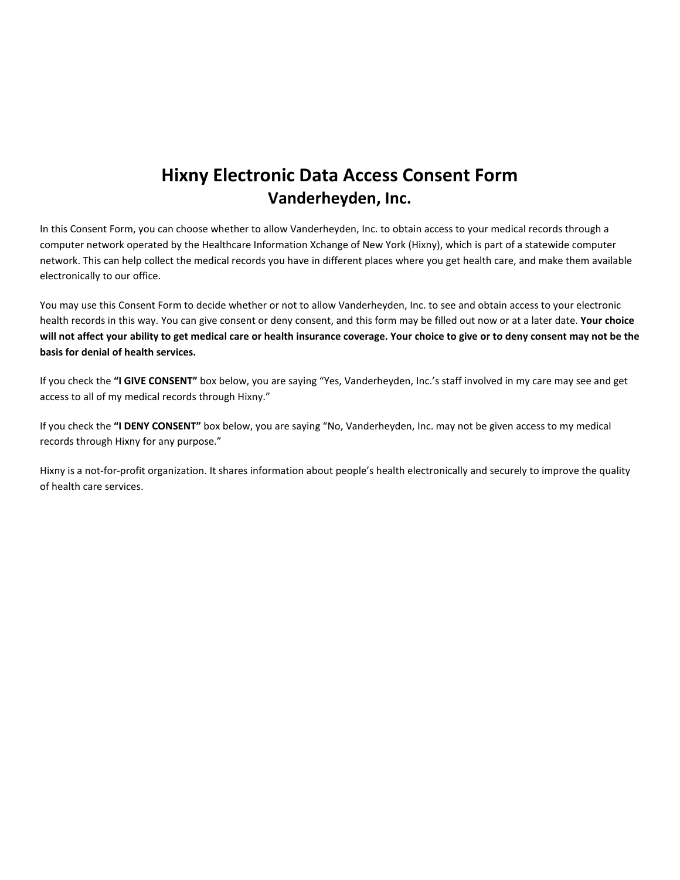# **Hixny Electronic Data Access Consent Form Vanderheyden, Inc.**

In this Consent Form, you can choose whether to allow Vanderheyden, Inc. to obtain access to your medical records through a computer network operated by the Healthcare Information Xchange of New York (Hixny), which is part of a statewide computer network. This can help collect the medical records you have in different places where you get health care, and make them available electronically to our office.

You may use this Consent Form to decide whether or not to allow Vanderheyden, Inc. to see and obtain access to your electronic health records in this way. You can give consent or deny consent, and this form may be filled out now or at a later date. **Your choice will not affect your ability to get medical care or health insurance coverage. Your choice to give or to deny consent may not be the basis for denial of health services.** 

If you check the **"I GIVE CONSENT"** box below, you are saying "Yes, Vanderheyden, Inc.'s staff involved in my care may see and get access to all of my medical records through Hixny."

If you check the **"I DENY CONSENT"** box below, you are saying "No, Vanderheyden, Inc. may not be given access to my medical records through Hixny for any purpose."

Hixny is a not-for-profit organization. It shares information about people's health electronically and securely to improve the quality of health care services.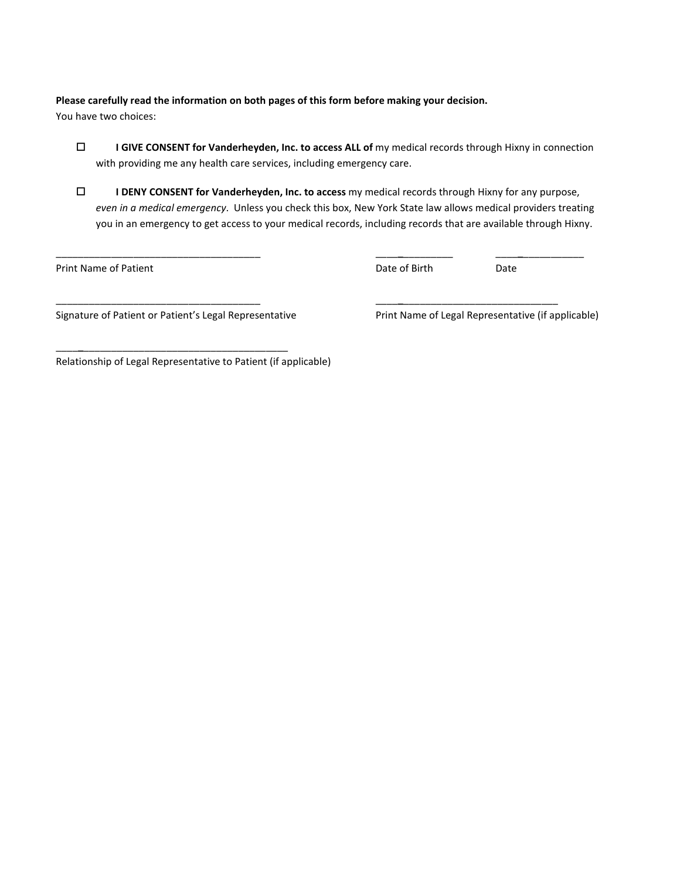# **Please carefully read the information on both pages of this form before making your decision.**

You have two choices:

- **I GIVE CONSENT for Vanderheyden, Inc. to access ALL of** my medical records through Hixny in connection with providing me any health care services, including emergency care.
- **I DENY CONSENT for Vanderheyden, Inc. to access** my medical records through Hixny for any purpose, *even in a medical emergency*. Unless you check this box, New York State law allows medical providers treating you in an emergency to get access to your medical records, including records that are available through Hixny.

\_\_\_\_\_\_\_\_\_\_\_\_\_\_\_\_\_\_\_\_\_\_\_\_\_\_\_\_\_\_\_\_\_\_\_\_\_ \_\_\_\_**\_**\_\_\_\_\_\_\_\_\_ \_\_\_\_**\_**\_\_\_\_\_\_\_\_\_\_\_

\_\_\_\_\_\_\_\_\_\_\_\_\_\_\_\_\_\_\_\_\_\_\_\_\_\_\_\_\_\_\_\_\_\_\_\_\_ \_\_\_\_**\_**\_\_\_\_\_\_\_\_\_\_\_\_\_\_\_\_\_\_\_\_\_\_\_\_\_\_\_\_

Print Name of Patient **Date of Birth Date of Birth** Date of Birth Date Only 2014

Signature of Patient or Patient's Legal Representative Print Name of Legal Representative (if applicable)

\_\_\_\_**\_**\_\_\_\_\_\_\_\_\_\_\_\_\_\_\_\_\_\_\_\_\_\_\_\_\_\_\_\_\_\_\_\_\_\_\_\_\_

Relationship of Legal Representative to Patient (if applicable)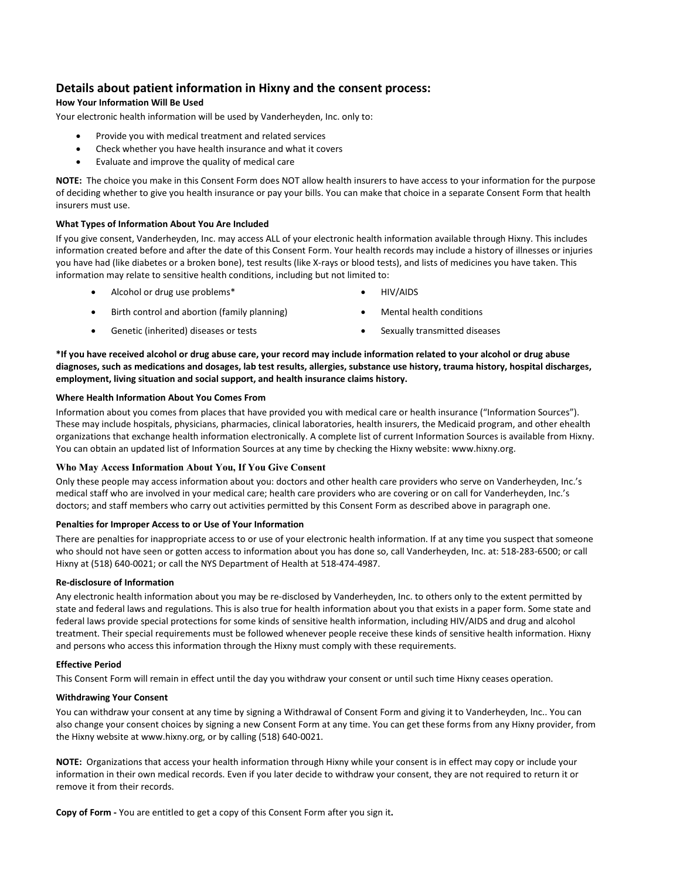## **Details about patient information in Hixny and the consent process:**

## **How Your Information Will Be Used**

Your electronic health information will be used by Vanderheyden, Inc. only to:

- Provide you with medical treatment and related services
- Check whether you have health insurance and what it covers
- Evaluate and improve the quality of medical care

**NOTE:** The choice you make in this Consent Form does NOT allow health insurers to have access to your information for the purpose of deciding whether to give you health insurance or pay your bills. You can make that choice in a separate Consent Form that health insurers must use.

### **What Types of Information About You Are Included**

If you give consent, Vanderheyden, Inc. may access ALL of your electronic health information available through Hixny. This includes information created before and after the date of this Consent Form. Your health records may include a history of illnesses or injuries you have had (like diabetes or a broken bone), test results (like X-rays or blood tests), and lists of medicines you have taken. This information may relate to sensitive health conditions, including but not limited to:

- Alcohol or drug use problems\* HIV/AIDS
- 
- Birth control and abortion (family planning) **•** Mental health conditions
- Genetic (inherited) diseases or tests Sexually transmitted diseases
- -

**\*If you have received alcohol or drug abuse care, your record may include information related to your alcohol or drug abuse diagnoses, such as medications and dosages, lab test results, allergies, substance use history, trauma history, hospital discharges, employment, living situation and social support, and health insurance claims history.**

### **Where Health Information About You Comes From**

Information about you comes from places that have provided you with medical care or health insurance ("Information Sources"). These may include hospitals, physicians, pharmacies, clinical laboratories, health insurers, the Medicaid program, and other ehealth organizations that exchange health information electronically. A complete list of current Information Sources is available from Hixny. You can obtain an updated list of Information Sources at any time by checking the Hixny website: www.hixny.org.

## **Who May Access Information About You, If You Give Consent**

Only these people may access information about you: doctors and other health care providers who serve on Vanderheyden, Inc.'s medical staff who are involved in your medical care; health care providers who are covering or on call for Vanderheyden, Inc.'s doctors; and staff members who carry out activities permitted by this Consent Form as described above in paragraph one.

## **Penalties for Improper Access to or Use of Your Information**

There are penalties for inappropriate access to or use of your electronic health information. If at any time you suspect that someone who should not have seen or gotten access to information about you has done so, call Vanderheyden, Inc. at: 518-283-6500; or call Hixny at (518) 640-0021; or call the NYS Department of Health at 518-474-4987.

## **Re-disclosure of Information**

Any electronic health information about you may be re-disclosed by Vanderheyden, Inc. to others only to the extent permitted by state and federal laws and regulations. This is also true for health information about you that exists in a paper form. Some state and federal laws provide special protections for some kinds of sensitive health information, including HIV/AIDS and drug and alcohol treatment. Their special requirements must be followed whenever people receive these kinds of sensitive health information. Hixny and persons who access this information through the Hixny must comply with these requirements.

### **Effective Period**

This Consent Form will remain in effect until the day you withdraw your consent or until such time Hixny ceases operation.

## **Withdrawing Your Consent**

You can withdraw your consent at any time by signing a Withdrawal of Consent Form and giving it to Vanderheyden, Inc.. You can also change your consent choices by signing a new Consent Form at any time. You can get these forms from any Hixny provider, from the Hixny website at www.hixny.org, or by calling (518) 640-0021.

**NOTE:** Organizations that access your health information through Hixny while your consent is in effect may copy or include your information in their own medical records. Even if you later decide to withdraw your consent, they are not required to return it or remove it from their records.

**Copy of Form -** You are entitled to get a copy of this Consent Form after you sign it**.**